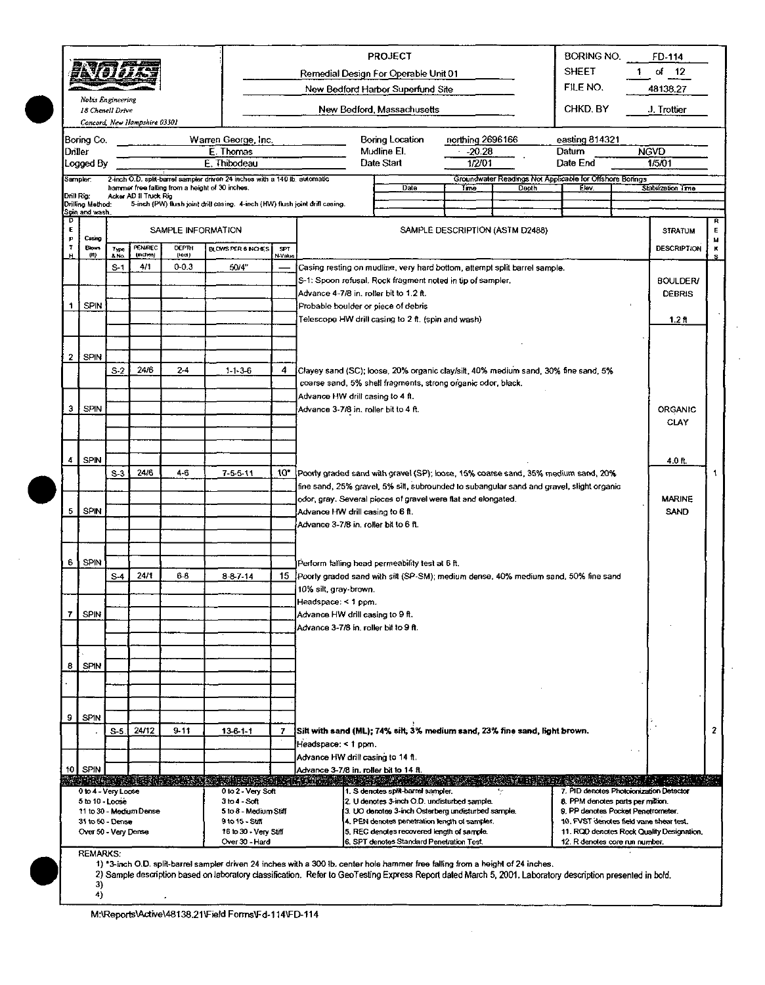|             | 歌句拼                                       |                |                              |                                                 |                                                                                            |                       | Remedial Design For Operable Unit 01                                                                                                                                                                                                                                                            | <b>PROJECT</b>                                                                              |                  |                                 | BORING NO.<br><b>SHEET</b>                                                   | 1. | FD-114<br>of $12$                         |             |
|-------------|-------------------------------------------|----------------|------------------------------|-------------------------------------------------|--------------------------------------------------------------------------------------------|-----------------------|-------------------------------------------------------------------------------------------------------------------------------------------------------------------------------------------------------------------------------------------------------------------------------------------------|---------------------------------------------------------------------------------------------|------------------|---------------------------------|------------------------------------------------------------------------------|----|-------------------------------------------|-------------|
|             |                                           |                |                              |                                                 |                                                                                            |                       |                                                                                                                                                                                                                                                                                                 | New Bedford Harbor Superfund Site                                                           |                  |                                 | FILE NO.                                                                     |    | 48138.27                                  |             |
|             | Nobis Engineering<br>18 Chenell Drive     |                | Concord, New Hampshire 03301 |                                                 |                                                                                            |                       |                                                                                                                                                                                                                                                                                                 | New Bedford, Massachusetts                                                                  |                  |                                 | CHKD BY                                                                      |    | J. Trottier                               |             |
|             | Boring Co.                                |                |                              |                                                 | Warren George, Inc.                                                                        |                       |                                                                                                                                                                                                                                                                                                 | Boring Location                                                                             | northing 2696166 |                                 | easting 814321                                                               |    |                                           |             |
|             | Driller                                   |                |                              |                                                 | E. Thomas                                                                                  |                       |                                                                                                                                                                                                                                                                                                 | Mudline El.                                                                                 | $-20.28$         |                                 | Datum                                                                        |    | <b>NGVD</b>                               |             |
|             | Logged By<br>Sampler:                     |                |                              |                                                 | E. Thibodeau<br>2-inch O.D. split-barrel sampler driven 24 inches with a 140 lb, automatic |                       |                                                                                                                                                                                                                                                                                                 | Date Start                                                                                  | 1/2/01           |                                 | Date End<br>Groundwater Readings Not Applicable for Offshore Borings         |    | 1/5/01                                    |             |
|             | Drill Rig:                                |                | Acker AD II Truck Rig        | hammet free falling from a height of 30 inches. |                                                                                            |                       |                                                                                                                                                                                                                                                                                                 | Date                                                                                        | Time             | Depth                           | Elev.                                                                        |    | Stabilization Time                        |             |
|             | <b>Urilling Method:</b><br>Spin and wash. |                |                              |                                                 | 5-inch (PW) flush joint drill casing. 4-inch (HW) flush joint drill casing.                |                       |                                                                                                                                                                                                                                                                                                 |                                                                                             |                  |                                 |                                                                              |    |                                           |             |
| D<br>E<br>P | Casing                                    |                |                              | SAMPLE INFORMATION                              |                                                                                            |                       |                                                                                                                                                                                                                                                                                                 |                                                                                             |                  | SAMPLE DESCRIPTION (ASTM D2488) |                                                                              |    | <b>STRATUM</b>                            | R<br>Е<br>M |
| τ           | <b>Blows</b><br>(H)                       | Type<br>& No.  | <b>PENAREC</b><br>(nches)    | <b>DEPTH</b><br>(leel)                          | <b>BLOWS PER 6 NO ES</b>                                                                   | <b>SPT</b><br>N-Value |                                                                                                                                                                                                                                                                                                 |                                                                                             |                  |                                 |                                                                              |    | <b>DESCRIPTION</b>                        | ĸ<br>s.     |
|             |                                           | $S-1$          | 4/1                          | $0 - 0.3$                                       | 50/4"                                                                                      |                       | Casing resting on mudline, very hard bottom, attempt split barrel sample.                                                                                                                                                                                                                       |                                                                                             |                  |                                 |                                                                              |    |                                           |             |
|             |                                           |                |                              |                                                 |                                                                                            |                       | S-1: Spoon refusal. Rock fragment noted in tip of sampler.                                                                                                                                                                                                                                      |                                                                                             |                  |                                 |                                                                              |    | <b>BOULDER/</b>                           |             |
| 1           | <b>SPIN</b>                               |                |                              |                                                 |                                                                                            |                       | Advance 4-7/8 in. roller bit to 1.2 ft.<br>Probable boulder or piece of debris                                                                                                                                                                                                                  |                                                                                             |                  |                                 |                                                                              |    | <b>DEBRIS</b>                             |             |
|             |                                           |                |                              |                                                 |                                                                                            |                       | Telescope HW drill casing to 2 ft. (spin and wash)                                                                                                                                                                                                                                              |                                                                                             |                  |                                 |                                                                              |    | 1.2 <sub>ft</sub>                         |             |
|             |                                           |                |                              |                                                 |                                                                                            |                       |                                                                                                                                                                                                                                                                                                 |                                                                                             |                  |                                 |                                                                              |    |                                           |             |
| 2           | SPIN                                      |                |                              |                                                 |                                                                                            |                       |                                                                                                                                                                                                                                                                                                 |                                                                                             |                  |                                 |                                                                              |    |                                           |             |
|             |                                           | S <sub>2</sub> | 24/6                         | $2-4$                                           | 11.36                                                                                      | 4                     | Clayey sand (SC); loose, 20% organic clay/silt, 40% medium sand, 30% fine sand, 5%                                                                                                                                                                                                              |                                                                                             |                  |                                 |                                                                              |    |                                           |             |
|             |                                           |                |                              |                                                 |                                                                                            |                       | coarse sand, 5% shell fragments, strong organic odor, black.                                                                                                                                                                                                                                    |                                                                                             |                  |                                 |                                                                              |    |                                           |             |
| 3           | <b>SPIN</b>                               |                |                              |                                                 |                                                                                            |                       | Advance HW drill casing to 4 ft.<br>Advance 3-7/8 in. roller bit to 4 ft.                                                                                                                                                                                                                       |                                                                                             |                  |                                 |                                                                              |    | ORGANIC                                   |             |
|             |                                           |                |                              |                                                 |                                                                                            |                       |                                                                                                                                                                                                                                                                                                 | CLAY                                                                                        |                  |                                 |                                                                              |    |                                           |             |
|             |                                           |                |                              |                                                 |                                                                                            |                       |                                                                                                                                                                                                                                                                                                 |                                                                                             |                  |                                 |                                                                              |    |                                           |             |
| 4           | <b>SPIN</b>                               |                |                              |                                                 |                                                                                            |                       |                                                                                                                                                                                                                                                                                                 |                                                                                             |                  |                                 |                                                                              |    | 40 ft.                                    |             |
|             |                                           | $S-3$          | 24/6                         | $4-6$                                           | 75511                                                                                      | 10*                   | Poorly graded sand with gravel (SP); loose, 15% coarse sand, 35% medium sand, 20%                                                                                                                                                                                                               |                                                                                             |                  |                                 |                                                                              |    |                                           | 1           |
|             |                                           |                |                              |                                                 |                                                                                            |                       | fine sand, 25% gravel, 5% silt, subrounded to subangular sand and gravel, slight organic                                                                                                                                                                                                        |                                                                                             |                  |                                 |                                                                              |    |                                           |             |
| 5           | <b>SPIN</b>                               |                |                              |                                                 |                                                                                            |                       | odor, gray. Several pieces of gravel were flat and elongated.<br>Advance HW drill casing to 6 ft.                                                                                                                                                                                               |                                                                                             |                  |                                 |                                                                              |    | <b>MARINE</b><br><b>SAND</b>              |             |
|             |                                           |                |                              |                                                 |                                                                                            |                       | Advance 3-7/8 in, roller bit to 6 ft.                                                                                                                                                                                                                                                           |                                                                                             |                  |                                 |                                                                              |    |                                           |             |
|             |                                           |                |                              |                                                 |                                                                                            |                       |                                                                                                                                                                                                                                                                                                 |                                                                                             |                  |                                 |                                                                              |    |                                           |             |
| 6           | SPIN                                      |                |                              |                                                 |                                                                                            |                       | Perform falling head permeability test at 6 ft.                                                                                                                                                                                                                                                 |                                                                                             |                  |                                 |                                                                              |    |                                           |             |
|             |                                           | $S-4$          | 24/1                         | $6-8$                                           | 8-8-7-14                                                                                   | 15.                   | Poorly graded sand with silt (SP-SM); medium dense, 40% medium sand, 50% fine sand                                                                                                                                                                                                              |                                                                                             |                  |                                 |                                                                              |    |                                           |             |
|             |                                           |                |                              |                                                 |                                                                                            |                       | 10% silt, gray-brown.                                                                                                                                                                                                                                                                           |                                                                                             |                  |                                 |                                                                              |    |                                           |             |
| 7           | <b>SPIN</b>                               |                |                              |                                                 |                                                                                            |                       | Headspace: < 1 ppm.                                                                                                                                                                                                                                                                             |                                                                                             |                  |                                 |                                                                              |    |                                           |             |
|             |                                           |                |                              |                                                 |                                                                                            |                       | Advance HW drill casing to 9 ft.<br>Advance 3-7/8 in. roller bit to 9 ft.                                                                                                                                                                                                                       |                                                                                             |                  |                                 |                                                                              |    |                                           |             |
|             |                                           |                |                              |                                                 |                                                                                            |                       |                                                                                                                                                                                                                                                                                                 |                                                                                             |                  |                                 |                                                                              |    |                                           |             |
|             |                                           |                |                              |                                                 |                                                                                            |                       |                                                                                                                                                                                                                                                                                                 |                                                                                             |                  |                                 |                                                                              |    |                                           |             |
| 8           | SPIN                                      |                |                              |                                                 |                                                                                            |                       |                                                                                                                                                                                                                                                                                                 |                                                                                             |                  |                                 |                                                                              |    |                                           |             |
|             |                                           |                |                              |                                                 |                                                                                            |                       |                                                                                                                                                                                                                                                                                                 |                                                                                             |                  |                                 |                                                                              |    |                                           |             |
|             |                                           |                |                              |                                                 |                                                                                            |                       |                                                                                                                                                                                                                                                                                                 |                                                                                             |                  |                                 |                                                                              |    |                                           |             |
| 9           | <b>SPIN</b>                               | $S-5$          | 24/12                        | $9 - 11$                                        | $13 - 6 - 1 - 1$                                                                           | $\overline{I}$        | Silt with sand (ML); 74% silt, 3% medium sand, 23% fine sand, light brown.                                                                                                                                                                                                                      |                                                                                             |                  |                                 |                                                                              |    |                                           | 2           |
|             |                                           |                |                              |                                                 |                                                                                            |                       | Headspace: < 1 ppm.                                                                                                                                                                                                                                                                             |                                                                                             |                  |                                 |                                                                              |    |                                           |             |
|             |                                           |                |                              |                                                 |                                                                                            |                       | Advance HW drill casing to 14 ft.                                                                                                                                                                                                                                                               |                                                                                             |                  |                                 |                                                                              |    |                                           |             |
|             | $10$ SPIN                                 |                |                              |                                                 |                                                                                            |                       | Advance 3-7/8 in. roller bit to 14 ft.                                                                                                                                                                                                                                                          |                                                                                             |                  | na Lati                         |                                                                              |    |                                           |             |
|             | 0 to 4 - Very Loose<br>5 to 10 - Loose    |                |                              |                                                 | 0 to 2 - Very Soft<br>3 to 4 - Soft                                                        |                       |                                                                                                                                                                                                                                                                                                 | 1. S denotes split-barrel sampler.<br>2. U denotes 3-inch O.D. undisturbed sample.          |                  |                                 | 7. PID denotes Photoionization Detector<br>8. PPM denotes parts per million. |    |                                           |             |
|             |                                           |                | 11 to 30 - Medium Dense      |                                                 | 5 to 8 - Medium Stiff                                                                      |                       |                                                                                                                                                                                                                                                                                                 | 3. UO denotes 3-inch Osterberg undisturbed sample.                                          |                  |                                 | 9. PP denotes Pocket Penetrometer.                                           |    |                                           |             |
|             | 31 to 50 - Dense<br>Over 50 - Very Dense  |                |                              |                                                 | 9 to 15 - St语<br>16 to 30 - Very Stiff                                                     |                       |                                                                                                                                                                                                                                                                                                 | 4. PEN denotes penetration length of sampler.<br>5. REC denotes recovered length of sample. |                  |                                 | 10, FVST denotes field vane shear test.                                      |    | 11. ROD denotes Rock Quality Designation. |             |
|             |                                           |                |                              |                                                 | Over 30 - Hard                                                                             |                       |                                                                                                                                                                                                                                                                                                 | 6. SPT denotes Standard Penetration Test.                                                   |                  |                                 | 12. R denotes core run number.                                               |    |                                           |             |
|             | <b>REMARKS:</b>                           |                |                              |                                                 |                                                                                            |                       | 1) "3-inch O.D. split-barrel sampler driven 24 inches with a 300 lb. center hole hammer free falling from a height of 24 inches.<br>2) Sample description based on laboratory classification. Refer to GeoTesting Express Report dated March 5, 2001. Laboratory description presented in bold. |                                                                                             |                  |                                 |                                                                              |    |                                           |             |

л,  $\frac{3}{4}$ 

 $\bar{z}$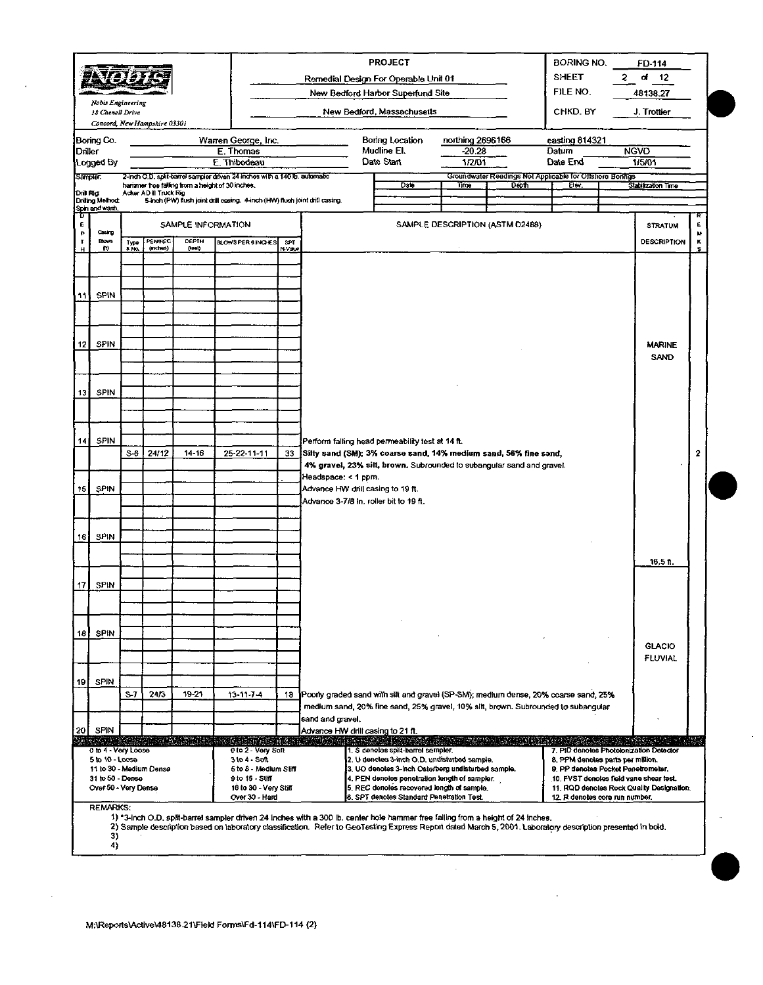|                   |                                          |              |                              |                    |                                                                                                                               |              |                                                                                                                                                             | <b>PROJECT</b>                                                                              |                  |                                                                   | <b>BORING NO.</b><br><b>SHEET</b>       | $\mathbf{2}^-$ | FD 114<br>đ<br>- 12                       |        |
|-------------------|------------------------------------------|--------------|------------------------------|--------------------|-------------------------------------------------------------------------------------------------------------------------------|--------------|-------------------------------------------------------------------------------------------------------------------------------------------------------------|---------------------------------------------------------------------------------------------|------------------|-------------------------------------------------------------------|-----------------------------------------|----------------|-------------------------------------------|--------|
|                   |                                          |              |                              |                    |                                                                                                                               |              |                                                                                                                                                             | Remedial Design For Operable Unit 01<br>New Bedford Harbor Superfund Site                   |                  |                                                                   | FILE NO.                                |                | 48138.27                                  |        |
|                   | Noois Engineering                        |              |                              |                    |                                                                                                                               |              |                                                                                                                                                             |                                                                                             |                  |                                                                   |                                         |                |                                           |        |
|                   | 18 Chenell Drive                         |              | Concord, New Hampshire 03301 |                    |                                                                                                                               |              |                                                                                                                                                             | New Bedford, Massachusetts                                                                  |                  |                                                                   | CHKD. BY                                |                | J. Trottier                               |        |
|                   | Boring Co.                               |              |                              |                    | Warren George, Inc.                                                                                                           |              |                                                                                                                                                             | Boring Location                                                                             | northing 2696166 |                                                                   | easting 814321                          |                |                                           |        |
| Driller           |                                          |              |                              |                    | E. Thomas                                                                                                                     |              |                                                                                                                                                             | Mudline El.                                                                                 | $-20.28$         |                                                                   | Datum                                   |                | <b>NGVD</b>                               |        |
|                   | Logged By                                |              |                              |                    | E. Thibodeau                                                                                                                  |              |                                                                                                                                                             | Date Start                                                                                  | 1/2/01           |                                                                   | Date End                                |                | 1/5/01                                    |        |
| <b>Sampler</b>    |                                          |              |                              |                    | 2-inch O.D. split-barrel sampler driven 24 inches with a 140 lb. automatic<br>hammer free failing from a height of 30 inches. |              |                                                                                                                                                             | Date                                                                                        | Time             | Groundwater Readings Not Applicable for Offshore Borings<br>Depth | Bw.                                     |                | Stabilization Time                        |        |
| Drill Rig.        | Driling Method:                          |              | Acker AD II Truck Rig        |                    | 5-inch (PW) flush joint drill casing. 4-inch (HW) flush joint drill casing.                                                   |              |                                                                                                                                                             |                                                                                             |                  |                                                                   |                                         |                |                                           |        |
| τ                 | Spin and wash.                           |              |                              |                    |                                                                                                                               |              |                                                                                                                                                             |                                                                                             |                  |                                                                   |                                         |                |                                           |        |
| E<br>P            | Cesing                                   |              |                              | SAMPLE INFORMATION |                                                                                                                               |              |                                                                                                                                                             |                                                                                             |                  | SAMPLE DESCRIPTION (ASTM D2488)                                   |                                         |                | <b>STRATUM</b>                            | £<br>м |
| т<br>н            | Blows<br>Ø0)                             | Туре<br>& No | PENTEC<br>$($ anches $)$     | DEPTH<br>pout      | <b>BLOWSPER 6 INCHES</b>                                                                                                      | SPT<br>N vau |                                                                                                                                                             |                                                                                             |                  |                                                                   |                                         |                | <b>DESCRIPTION</b>                        | ĸ<br>s |
|                   |                                          |              |                              |                    |                                                                                                                               |              |                                                                                                                                                             |                                                                                             |                  |                                                                   |                                         |                |                                           |        |
|                   |                                          |              |                              |                    |                                                                                                                               |              |                                                                                                                                                             |                                                                                             |                  |                                                                   |                                         |                |                                           |        |
| 11                | <b>SPIN</b>                              |              |                              |                    |                                                                                                                               |              |                                                                                                                                                             |                                                                                             |                  |                                                                   |                                         |                |                                           |        |
|                   |                                          |              |                              |                    |                                                                                                                               |              |                                                                                                                                                             |                                                                                             |                  |                                                                   |                                         |                |                                           |        |
|                   |                                          |              |                              |                    |                                                                                                                               |              |                                                                                                                                                             |                                                                                             |                  |                                                                   |                                         |                |                                           |        |
| $12 \overline{ }$ | <b>SPIN</b>                              |              |                              |                    |                                                                                                                               |              |                                                                                                                                                             |                                                                                             |                  |                                                                   |                                         |                | <b>MARINE</b>                             |        |
|                   |                                          |              |                              |                    |                                                                                                                               |              |                                                                                                                                                             |                                                                                             |                  |                                                                   |                                         |                | SAND                                      |        |
|                   |                                          |              |                              |                    |                                                                                                                               |              |                                                                                                                                                             |                                                                                             |                  |                                                                   |                                         |                |                                           |        |
| 13                | SPIN                                     |              |                              |                    |                                                                                                                               |              |                                                                                                                                                             |                                                                                             |                  |                                                                   |                                         |                |                                           |        |
|                   |                                          |              |                              |                    |                                                                                                                               |              |                                                                                                                                                             |                                                                                             |                  |                                                                   |                                         |                |                                           |        |
|                   |                                          |              |                              |                    |                                                                                                                               |              |                                                                                                                                                             |                                                                                             |                  |                                                                   |                                         |                |                                           |        |
|                   | <b>SPIN</b>                              |              |                              |                    |                                                                                                                               |              |                                                                                                                                                             |                                                                                             |                  |                                                                   |                                         |                |                                           |        |
| 14 <sup>1</sup>   |                                          | S-6          | 24/12                        | $14 - 16$          | 25-22-11-11                                                                                                                   | 33           | Silty sand (SM); 3% coarse sand, 14% medium sand, 56% fine sand,                                                                                            | Perform falling head permeability test at 14 ft.                                            |                  |                                                                   |                                         |                |                                           | 2      |
|                   |                                          |              |                              |                    |                                                                                                                               |              |                                                                                                                                                             | 4% gravel, 23% silt, brown. Subrounded to subangular sand and gravel.                       |                  |                                                                   |                                         |                |                                           |        |
|                   |                                          |              |                              |                    |                                                                                                                               |              | Headspace: < 1 ppm.                                                                                                                                         |                                                                                             |                  |                                                                   |                                         |                |                                           |        |
| 15                | SPIN                                     |              |                              |                    |                                                                                                                               |              | Advance HW drill casing to 19 ft.<br>Advance 3-7/8 in, roller bit to 19 ft.                                                                                 |                                                                                             |                  |                                                                   |                                         |                |                                           |        |
|                   |                                          |              |                              |                    |                                                                                                                               |              |                                                                                                                                                             |                                                                                             |                  |                                                                   |                                         |                |                                           |        |
|                   | SPIN                                     |              |                              |                    |                                                                                                                               |              |                                                                                                                                                             |                                                                                             |                  |                                                                   |                                         |                |                                           |        |
| 16                |                                          |              |                              |                    |                                                                                                                               |              |                                                                                                                                                             |                                                                                             |                  |                                                                   |                                         |                |                                           |        |
|                   |                                          |              |                              |                    |                                                                                                                               |              |                                                                                                                                                             |                                                                                             |                  |                                                                   |                                         |                | $18.5$ ft.                                |        |
|                   |                                          |              |                              |                    |                                                                                                                               |              |                                                                                                                                                             |                                                                                             |                  |                                                                   |                                         |                |                                           |        |
| 17                | SPIN                                     |              |                              |                    |                                                                                                                               |              |                                                                                                                                                             |                                                                                             |                  |                                                                   |                                         |                |                                           |        |
|                   |                                          |              |                              |                    |                                                                                                                               |              |                                                                                                                                                             |                                                                                             |                  |                                                                   |                                         |                |                                           |        |
|                   |                                          |              |                              |                    |                                                                                                                               |              |                                                                                                                                                             |                                                                                             |                  |                                                                   |                                         |                |                                           |        |
| 18                | <b>SPIN</b>                              |              |                              |                    |                                                                                                                               |              |                                                                                                                                                             |                                                                                             |                  |                                                                   |                                         |                | <b>GLACIO</b>                             |        |
|                   |                                          |              |                              |                    |                                                                                                                               |              |                                                                                                                                                             |                                                                                             |                  |                                                                   |                                         |                | <b>FLUVIAL</b>                            |        |
|                   |                                          |              |                              |                    |                                                                                                                               |              |                                                                                                                                                             |                                                                                             |                  |                                                                   |                                         |                |                                           |        |
| 19                | SPIN                                     | $S-7$        | 24/3                         | $19 - 21$          | $13 - 11 - 7 - 4$                                                                                                             | 18           | Poony graded sand with silt and gravel (SP-SM); medium dense, 20% coarse sand, 25%                                                                          |                                                                                             |                  |                                                                   |                                         |                |                                           |        |
|                   |                                          |              |                              |                    |                                                                                                                               |              |                                                                                                                                                             | medium sand, 20% fine sand, 25% gravel, 10% silt, brown. Subrounded to subangular           |                  |                                                                   |                                         |                |                                           |        |
|                   |                                          |              |                              |                    |                                                                                                                               |              | sand and gravel.                                                                                                                                            |                                                                                             |                  |                                                                   |                                         |                |                                           |        |
| 20                | SPIN                                     |              |                              |                    | Itsuaria indexanadaren este al                                                                                                |              | Advance HW drill casing to 21 ft.                                                                                                                           | <b>ANTIQUE ET</b>                                                                           |                  | ar Thorn                                                          |                                         |                |                                           |        |
|                   | 0 to 4 - Very Loose<br>5 to 10 - Loose   |              |                              |                    | 0 to 2 - Very Soft<br>$3104 - S0$                                                                                             |              |                                                                                                                                                             | 1. S denotes split-barrel sampler.<br>2. U denotes 3-inch O.D. undisturbed sample.          |                  |                                                                   | 8. PPM denotes parts per million.       |                | 7. PID denotes Photolonization Detector   |        |
|                   |                                          |              | 11 to 30 - Medium Dense      |                    | 5 to 8 Medium Stiff                                                                                                           |              |                                                                                                                                                             | 3. UO denotes 3-inch Osterberg undisturbed sample.                                          |                  |                                                                   | 9. PP denotes Pocket Penetrometer,      |                |                                           |        |
|                   | 31 to 50 - Dense<br>Over 50 - Very Dense |              |                              |                    | 9 to 15 - Stiff<br>16 to 30 - Very Stiff                                                                                      |              |                                                                                                                                                             | 4. PEN denotes penetration length of sampler.<br>5. REC denotes recovered length of sample. |                  |                                                                   | 10. FVST denotes field vane shear test. |                | 11. RQD denotes Rock Quality Designation. |        |
|                   |                                          |              |                              |                    | Over 30 - Hard                                                                                                                |              |                                                                                                                                                             | 6. SPT denotes Standard Penetration Test.                                                   |                  |                                                                   | 12. R denotes core run number.          |                |                                           |        |
|                   | <b>REMARKS:</b>                          |              |                              |                    |                                                                                                                               |              | 1) "3-inch O.D, split-barrel sampler driven 24 inches with a 300 lb, center hole hammer free falling from a height of 24 inches,                            |                                                                                             |                  |                                                                   |                                         |                |                                           |        |
|                   | 3)                                       |              |                              |                    |                                                                                                                               |              | 2) Sample description based on laboratory classification. Refer to GeoTesting Express Report dated March 5, 2001. Laboratory description presented in bold. |                                                                                             |                  |                                                                   |                                         |                |                                           |        |
|                   | 4)                                       |              |                              |                    |                                                                                                                               |              |                                                                                                                                                             |                                                                                             |                  |                                                                   |                                         |                |                                           |        |

 $\cdot$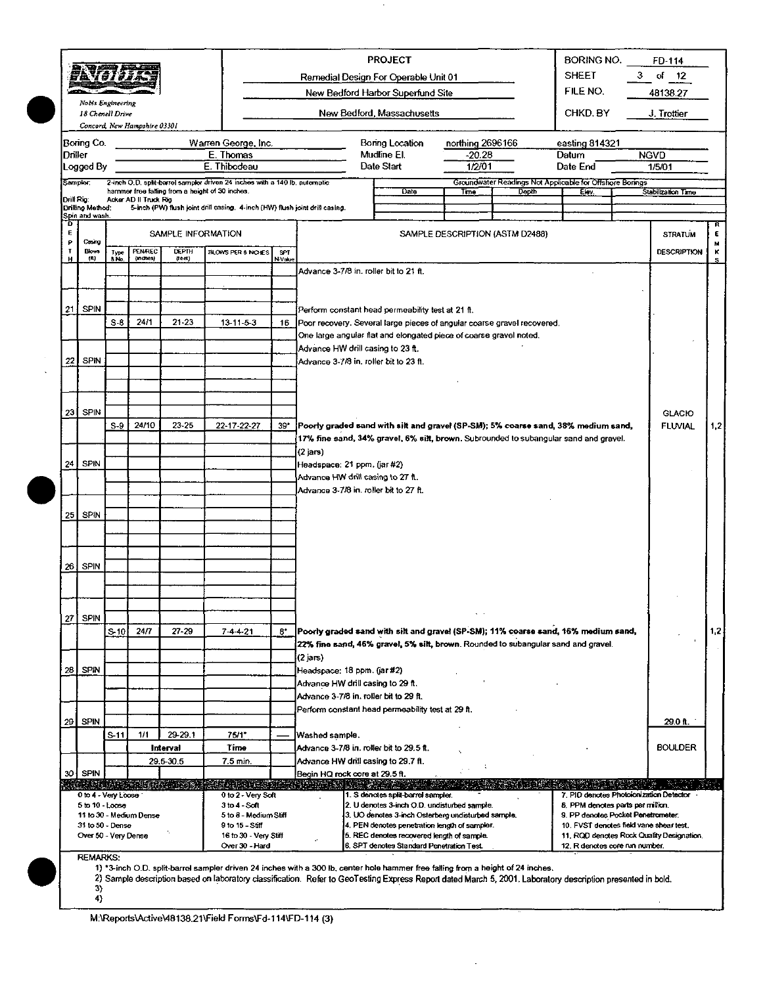|            |                                       |                 |                              |                         |                                                                             |        |                                                                                                                                                             | <b>PROJECT</b>                                                                                      |                           |                                                          | BORING NO.                                                                    |   | FD-114                                    |              |
|------------|---------------------------------------|-----------------|------------------------------|-------------------------|-----------------------------------------------------------------------------|--------|-------------------------------------------------------------------------------------------------------------------------------------------------------------|-----------------------------------------------------------------------------------------------------|---------------------------|----------------------------------------------------------|-------------------------------------------------------------------------------|---|-------------------------------------------|--------------|
|            | PA777                                 |                 |                              |                         |                                                                             |        |                                                                                                                                                             | Remedial Design For Operable Unit 01                                                                |                           |                                                          | <b>SHEET</b>                                                                  | з | of<br>12                                  |              |
|            |                                       |                 |                              |                         |                                                                             |        |                                                                                                                                                             | New Bedford Harbor Superfund Site                                                                   |                           |                                                          | FILE NO.                                                                      |   | 48138.27                                  |              |
|            | Nobis Engineering<br>18 Chenell Drive |                 |                              |                         |                                                                             |        |                                                                                                                                                             | New Bedford, Massachusetts                                                                          |                           |                                                          | CHKD BY                                                                       |   | J. Trottier                               |              |
|            |                                       |                 | Concord, New Hampshire 03301 |                         |                                                                             |        |                                                                                                                                                             |                                                                                                     |                           |                                                          |                                                                               |   |                                           |              |
|            | Boring Co.                            |                 |                              |                         | Warren George, Inc.                                                         |        |                                                                                                                                                             | Boring Location                                                                                     | northing 2696166          |                                                          | easting 814321                                                                |   |                                           |              |
| Driller    |                                       |                 |                              |                         | E. Thomas<br>E. Thibodeau                                                   |        |                                                                                                                                                             | Mudline El.<br>Date Start                                                                           | $-20.28$                  |                                                          | Datum<br>Date End                                                             |   | <b>NGVD</b>                               |              |
|            | Logged By<br>Sampler:                 |                 |                              |                         | 2-inch O.D. split-barrel sampler driven 24 inches with a 140 lb. automatic  |        |                                                                                                                                                             |                                                                                                     | 1/2/01                    | Groundwater Readings Not Applicable for Offshore Borings |                                                                               |   | 1/5/01                                    |              |
|            |                                       |                 | Acker AD II Truck Rig        |                         | hammer free falling from a height of 30 inches.                             |        |                                                                                                                                                             | Date                                                                                                | Time                      | Depth                                                    | Elev.                                                                         |   | Stabilization Time                        |              |
| Drill Rig: | Drilling Method:<br>Spin and wash.    |                 |                              |                         | 5-inch (PW) flush joint drill casing. 4-inch (HW) flush joint drill casing. |        |                                                                                                                                                             |                                                                                                     |                           |                                                          |                                                                               |   |                                           |              |
| 0<br>Ę     |                                       |                 |                              | SAMPLE INFORMATION      |                                                                             |        |                                                                                                                                                             |                                                                                                     |                           | SAMPLE DESCRIPTION (ASTM D2488)                          |                                                                               |   |                                           | R<br>E       |
| P<br>Ţ     | Casing<br><b>Blows</b>                |                 | PENREC                       | <b>DEPTH</b>            | BLOWS PER 6 NO ES                                                           | SPT    |                                                                                                                                                             |                                                                                                     |                           |                                                          |                                                                               |   | <b>STRATUM</b><br><b>DESCRIPTION</b>      | M<br>к       |
| н          | (M)                                   | Type<br>8 No.   | $(m$ ches)                   | (rect)                  |                                                                             | N-Vehe |                                                                                                                                                             |                                                                                                     |                           |                                                          |                                                                               |   |                                           | $\mathbf{s}$ |
|            |                                       |                 |                              |                         |                                                                             |        | Advance 3-7/8 in. roller bit to 21 ft.                                                                                                                      |                                                                                                     |                           |                                                          |                                                                               |   |                                           |              |
|            |                                       |                 |                              |                         |                                                                             |        |                                                                                                                                                             |                                                                                                     |                           |                                                          |                                                                               |   |                                           |              |
| 21.        | <b>SPIN</b>                           |                 |                              |                         |                                                                             |        |                                                                                                                                                             | Perform constant head permeability test at 21 ft.                                                   |                           |                                                          |                                                                               |   |                                           |              |
|            |                                       | $S-B$           | 24/1                         | $21 - 23$               | $13 - 11 - 5 - 3$                                                           | 16     | Poor recovery. Several large pieces of angular coarse gravel recovered.                                                                                     |                                                                                                     |                           |                                                          |                                                                               |   |                                           |              |
|            |                                       |                 |                              |                         |                                                                             |        | Advance HW drill casing to 23 ft.                                                                                                                           | One large angular flat and elongated piece of coarse gravel noted.                                  |                           |                                                          |                                                                               |   |                                           |              |
| 22         | <b>SPIN</b>                           |                 |                              |                         |                                                                             |        | Advance 3-7/8 in. roller bit to 23 ft.                                                                                                                      |                                                                                                     |                           |                                                          |                                                                               |   |                                           |              |
|            |                                       |                 |                              |                         |                                                                             |        |                                                                                                                                                             |                                                                                                     |                           |                                                          |                                                                               |   |                                           |              |
|            |                                       |                 |                              |                         |                                                                             |        |                                                                                                                                                             |                                                                                                     |                           |                                                          |                                                                               |   |                                           |              |
| 23         | <b>SPIN</b>                           |                 |                              |                         |                                                                             |        |                                                                                                                                                             |                                                                                                     |                           |                                                          |                                                                               |   | <b>GLACIO</b>                             |              |
|            |                                       | $S-9$           | 24/10                        | $23 - 25$               | 22-17-22-27                                                                 | 39"    | [Poorly graded sand with silt and gravel (SP-SM); 5% coarse sand, 38% medium sand,                                                                          |                                                                                                     |                           |                                                          |                                                                               |   | <b>FLUVIAL</b>                            | 1,2          |
|            |                                       |                 |                              |                         |                                                                             |        |                                                                                                                                                             | 17% fine sand, 34% gravel, 6% silt, brown. Subrounded to subangular sand and gravel.                |                           |                                                          |                                                                               |   |                                           |              |
|            |                                       |                 |                              |                         |                                                                             |        | (2 jars)                                                                                                                                                    |                                                                                                     |                           |                                                          |                                                                               |   |                                           |              |
| 24         | <b>SPIN</b>                           |                 |                              |                         |                                                                             |        | Headspace: 21 ppm. (jar #2)                                                                                                                                 |                                                                                                     |                           |                                                          |                                                                               |   |                                           |              |
|            |                                       |                 |                              |                         |                                                                             |        | Advance HW dnil casing to 27 ft.<br>Advance 3-7/8 in. roller bit to 27 ft.                                                                                  |                                                                                                     |                           |                                                          |                                                                               |   |                                           |              |
|            |                                       |                 |                              |                         |                                                                             |        |                                                                                                                                                             |                                                                                                     |                           |                                                          |                                                                               |   |                                           |              |
| 25         | <b>SPIN</b>                           |                 |                              |                         |                                                                             |        |                                                                                                                                                             |                                                                                                     |                           |                                                          |                                                                               |   |                                           |              |
|            |                                       |                 |                              |                         |                                                                             |        |                                                                                                                                                             |                                                                                                     |                           |                                                          |                                                                               |   |                                           |              |
|            |                                       |                 |                              |                         |                                                                             |        |                                                                                                                                                             |                                                                                                     |                           |                                                          |                                                                               |   |                                           |              |
|            | $26$ SPIN                             |                 |                              |                         |                                                                             |        |                                                                                                                                                             |                                                                                                     |                           |                                                          |                                                                               |   |                                           |              |
|            |                                       |                 |                              |                         |                                                                             |        |                                                                                                                                                             |                                                                                                     |                           |                                                          |                                                                               |   |                                           |              |
|            |                                       |                 |                              |                         |                                                                             |        |                                                                                                                                                             |                                                                                                     |                           |                                                          |                                                                               |   |                                           |              |
| 27]        | <b>SPIN</b>                           |                 |                              |                         |                                                                             |        |                                                                                                                                                             |                                                                                                     | $\mathbf{v} = \mathbf{0}$ |                                                          |                                                                               |   |                                           |              |
|            |                                       | S <sub>10</sub> | 24/7                         | $27 - 29$               | $7 - 4 - 4 - 21$                                                            | 8*     | Poorly graded sand with silt and gravel (SP-SM); 11% coarse sand, 16% medium sand,                                                                          |                                                                                                     |                           |                                                          |                                                                               |   |                                           | 1,2          |
|            |                                       |                 |                              |                         |                                                                             |        | 22% fine sand, 46% gravel, 5% silt, brown. Rounded to subangular sand and gravel.                                                                           |                                                                                                     |                           |                                                          |                                                                               |   |                                           |              |
|            |                                       |                 |                              |                         |                                                                             |        | (2 јагз)                                                                                                                                                    |                                                                                                     |                           |                                                          |                                                                               |   |                                           |              |
|            | 28 SPIN                               |                 |                              |                         |                                                                             |        | Headspace: 18 ppm. (jar#2)<br>Advance HW drill casing to 29 ft.                                                                                             |                                                                                                     |                           |                                                          |                                                                               |   |                                           |              |
|            |                                       |                 |                              |                         |                                                                             |        | Advance 3-7/8 in. roller bit to 29 ft.                                                                                                                      |                                                                                                     |                           |                                                          |                                                                               |   |                                           |              |
|            |                                       |                 |                              |                         |                                                                             |        | Perform constant head permeability test at 29 ft.                                                                                                           |                                                                                                     |                           |                                                          |                                                                               |   |                                           |              |
| 29         | <b>SPIN</b>                           |                 |                              |                         |                                                                             |        |                                                                                                                                                             |                                                                                                     |                           |                                                          |                                                                               |   | 29 O ft.                                  |              |
|            |                                       | S-11            | 1/1                          | 29-29.1<br>Interval     | 75/1"<br>Time                                                               |        | Washed sample.<br>Advance 3-7/8 in. roller bit to 29.5 ft.                                                                                                  |                                                                                                     |                           |                                                          |                                                                               |   | <b>BOULDER</b>                            |              |
|            |                                       |                 |                              | 29.5-30.5               | 7.5 min.                                                                    |        | Advance HW drill casing to 29.7 ft.                                                                                                                         |                                                                                                     |                           |                                                          |                                                                               |   |                                           |              |
|            | 30 SPIN                               |                 |                              |                         |                                                                             |        | Begin HQ rock core at 29.5 ft.                                                                                                                              |                                                                                                     |                           |                                                          |                                                                               |   |                                           |              |
|            | 0 to 4 - Very Loose                   |                 |                              | DIA TA BINGINA KU (NGC) | sentany akaomin<br>0 to 2 - Very Soft                                       |        |                                                                                                                                                             | 1. S denotes split-barrel sampler.                                                                  |                           |                                                          | 7. PID denotes Photoionization Detector                                       |   |                                           |              |
|            | $5$ to $10 -$ Loose                   |                 |                              |                         | 3 to 4 - Soft                                                               |        |                                                                                                                                                             | 2. U denotes 3-inch O.D. undisturbed sample.                                                        |                           |                                                          | 8. PPM denotes parts per million.                                             |   |                                           |              |
|            | 31 to 50 - Dense                      |                 | 11 to 30 - Medium Dense      |                         | 5 to 8 - Medium Stiff<br>9 to 15 - Stiff                                    |        |                                                                                                                                                             | 3. UO denotes 3-inch Osterberg undisturbed sample.<br>4. PEN denotes penetration length of sampler. |                           |                                                          | 9. PP denotes Pocket Penetrometer.<br>10. FVST denotes field vane shear test. |   |                                           |              |
|            | Over 50 - Very Dense                  |                 |                              |                         | 16 to 30 - Very Stiff                                                       |        |                                                                                                                                                             | 5. REC denotes recovered length of sample.                                                          |                           |                                                          |                                                                               |   | 11. ROD denotes Rock Quality Designation. |              |
|            | <b>REMARKS:</b>                       |                 |                              |                         | Over 30 - Hard                                                              |        |                                                                                                                                                             | 6. SPT denotes Standard Penetration Test.                                                           |                           |                                                          | 12. R denotes core run number.                                                |   |                                           |              |
|            |                                       |                 |                              |                         |                                                                             |        | 1) *3-inch O.D. split-barrel sampler driven 24 inches with a 300 lb, center hole hammer free falling from a height of 24 inches.                            |                                                                                                     |                           |                                                          |                                                                               |   |                                           |              |
|            | 3)                                    |                 |                              |                         |                                                                             |        | 2) Sample description based on laboratory classification. Refer to GeoTesting Express Report dated March 5, 2001. Laboratory description presented in bold. |                                                                                                     |                           |                                                          |                                                                               |   |                                           |              |
|            | 4)                                    |                 |                              |                         |                                                                             |        |                                                                                                                                                             |                                                                                                     |                           |                                                          |                                                                               |   |                                           |              |

M:\Reports\Active\48138.21\Field Forms\Fd-114\FD-114 (3)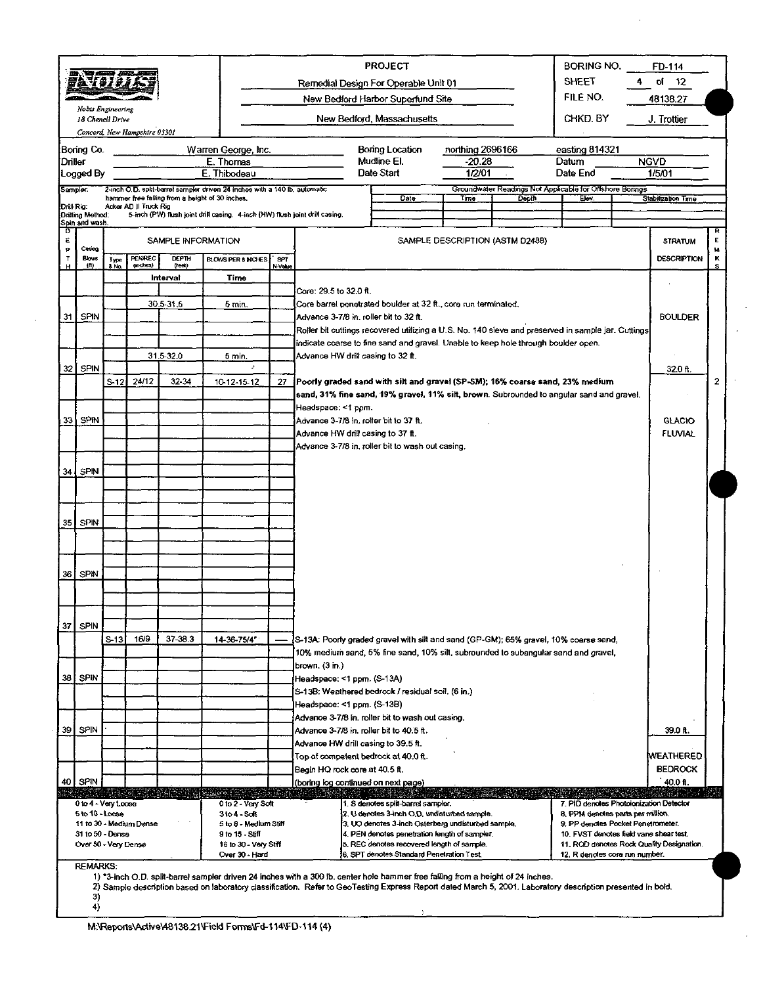|                  |                      |               |                                                                                                                              |                        |                                                                                                                               |                                                                                                                |                                                                             | <b>PROJECT</b><br><b>BORING NO.</b><br>FD-114 |                                                                                                                                                             |                            |       |                                                                         |                |                                           |               |
|------------------|----------------------|---------------|------------------------------------------------------------------------------------------------------------------------------|------------------------|-------------------------------------------------------------------------------------------------------------------------------|----------------------------------------------------------------------------------------------------------------|-----------------------------------------------------------------------------|-----------------------------------------------|-------------------------------------------------------------------------------------------------------------------------------------------------------------|----------------------------|-------|-------------------------------------------------------------------------|----------------|-------------------------------------------|---------------|
|                  | 특호 1 0.1 p           |               |                                                                                                                              |                        |                                                                                                                               |                                                                                                                |                                                                             |                                               | Remedial Design For Operable Unit 01                                                                                                                        |                            |       | SHEET                                                                   |                | of 12                                     |               |
|                  | Nobis Engineering    |               |                                                                                                                              |                        |                                                                                                                               |                                                                                                                |                                                                             |                                               | New Bedford Harbor Superfund Site                                                                                                                           |                            |       | FILE NO.                                                                |                | 48138.27                                  |               |
|                  | 18 Chenell Drive     |               |                                                                                                                              |                        |                                                                                                                               |                                                                                                                |                                                                             |                                               | New Bedford, Massachusetts                                                                                                                                  |                            |       | CHKD BY                                                                 |                | J. Trottier                               |               |
|                  |                      |               | Concord, New Hampshire 03301                                                                                                 |                        |                                                                                                                               |                                                                                                                |                                                                             |                                               |                                                                                                                                                             |                            |       |                                                                         |                |                                           |               |
| Driller          | Bonng Co.            |               |                                                                                                                              |                        | Warren George, Inc.<br>E. Thomas                                                                                              |                                                                                                                |                                                                             |                                               | <b>Bonng Location</b><br>Mudline EI.                                                                                                                        | northing 2696166<br>-20.28 |       | easting 814321<br>Datum                                                 |                | <b>NGVD</b>                               |               |
|                  | Logged By            |               |                                                                                                                              |                        | E. Thibodeau                                                                                                                  |                                                                                                                |                                                                             |                                               | Date Start                                                                                                                                                  | 1/2/01                     |       | Date End                                                                |                | 1/5/01                                    |               |
| Sampler:         |                      |               |                                                                                                                              |                        | 2-inch O.D. split-barrel sampler driven 24 inches with a 140 lb. automatic<br>hammer free falling from a height of 30 inches. |                                                                                                                |                                                                             |                                               |                                                                                                                                                             |                            |       | Groundwater Readings Not Applicable for Offshore Bonnes                 |                |                                           |               |
| Dnll Rig.        | Drilling Method:     |               | Acker AD II Truck Rig                                                                                                        |                        | 5-inch (PW) flush joint drill casing. 4-inch (HW) flush joint drill casing.                                                   |                                                                                                                |                                                                             |                                               | Date                                                                                                                                                        | Time                       | Depth | Elev.                                                                   |                | Stabilization Time                        |               |
| D                | Spin and wash.       |               |                                                                                                                              |                        |                                                                                                                               |                                                                                                                |                                                                             |                                               |                                                                                                                                                             |                            |       |                                                                         |                |                                           | R             |
| ε<br>p.          | Caring               |               |                                                                                                                              | SAMPLE INFORMATION     |                                                                                                                               | SAMPLE DESCRIPTION (ASTM D2488)                                                                                |                                                                             |                                               |                                                                                                                                                             |                            |       |                                                                         |                |                                           |               |
| $\mathbf T$<br>H | Blows<br>(1)         | Type<br>& No. | PENREC<br>(inches)                                                                                                           | <b>DEPTH</b><br>(rear) | BLOWS PER 8 INCHES                                                                                                            | SPT<br>N-Value                                                                                                 |                                                                             |                                               |                                                                                                                                                             |                            |       |                                                                         |                | <b>DESCRIPTION</b>                        | ۱.,<br>к<br>s |
|                  |                      |               |                                                                                                                              | Interval               | Time                                                                                                                          |                                                                                                                |                                                                             |                                               |                                                                                                                                                             |                            |       |                                                                         |                |                                           |               |
|                  |                      |               |                                                                                                                              |                        |                                                                                                                               |                                                                                                                | Core: 29.5 to 32.0 ft.                                                      |                                               |                                                                                                                                                             |                            |       |                                                                         |                |                                           |               |
|                  | 31 SPIN              |               |                                                                                                                              | 30.5-31.5              | 5 min.                                                                                                                        |                                                                                                                | Advance 3-7/8 in. roller bit to 32 ft.                                      |                                               | Core barrel penetrated boulder at 32 ft., core run terminated.                                                                                              |                            |       |                                                                         |                | <b>BOULDER</b>                            |               |
|                  |                      |               |                                                                                                                              |                        |                                                                                                                               |                                                                                                                |                                                                             |                                               | Roller bit cuttings recovered utilizing a U.S. No. 140 sieve and preserved in sample jar. Cuttings                                                          |                            |       |                                                                         |                |                                           |               |
|                  |                      |               |                                                                                                                              |                        |                                                                                                                               |                                                                                                                |                                                                             |                                               | indicate coarse to fine sand and gravel. Unable to keep hole through boulder open.                                                                          |                            |       |                                                                         |                |                                           |               |
|                  | 32 SPIN              |               |                                                                                                                              | 31.5-32.0              | 5 min.<br>x                                                                                                                   |                                                                                                                | Advance HW drill casing to 32 ft.                                           |                                               |                                                                                                                                                             |                            |       |                                                                         |                | 32.0 ft.                                  |               |
|                  |                      |               | 24/12<br>32-34<br>Poorly graded sand with silt and gravel (SP-SM); 16% coarse sand, 23% medium<br>S-121<br>10-12-15-12<br>27 |                        |                                                                                                                               |                                                                                                                |                                                                             |                                               |                                                                                                                                                             |                            |       |                                                                         | 2              |                                           |               |
|                  |                      |               |                                                                                                                              |                        |                                                                                                                               | sand, 31% fine sand, 19% gravel, 11% silt, brown. Subrounded to angular sand and gravel.<br>Headspace: <1 ppm. |                                                                             |                                               |                                                                                                                                                             |                            |       |                                                                         |                |                                           |               |
| 33'              | SPIN                 |               |                                                                                                                              |                        |                                                                                                                               |                                                                                                                | Advance 3-7/8 in. roller bit to 37 ft.                                      |                                               |                                                                                                                                                             |                            |       |                                                                         |                | <b>GLACIO</b>                             |               |
|                  |                      |               |                                                                                                                              |                        | Advance HW drill casing to 37 ft.                                                                                             |                                                                                                                |                                                                             |                                               |                                                                                                                                                             |                            |       |                                                                         | <b>FLUVIAL</b> |                                           |               |
|                  |                      |               |                                                                                                                              |                        |                                                                                                                               |                                                                                                                |                                                                             |                                               | Advance 3-7/8 in, roller bit to wash out casing.                                                                                                            |                            |       |                                                                         |                |                                           |               |
| 34               | SPIN                 |               |                                                                                                                              |                        |                                                                                                                               |                                                                                                                |                                                                             |                                               |                                                                                                                                                             |                            |       |                                                                         |                |                                           |               |
|                  |                      |               |                                                                                                                              |                        |                                                                                                                               |                                                                                                                |                                                                             |                                               |                                                                                                                                                             |                            |       |                                                                         |                |                                           |               |
|                  |                      |               |                                                                                                                              |                        |                                                                                                                               |                                                                                                                |                                                                             |                                               |                                                                                                                                                             |                            |       |                                                                         |                |                                           |               |
| 35               | SPIN                 |               |                                                                                                                              |                        |                                                                                                                               |                                                                                                                |                                                                             |                                               |                                                                                                                                                             |                            |       |                                                                         |                |                                           |               |
|                  |                      |               |                                                                                                                              |                        |                                                                                                                               |                                                                                                                |                                                                             |                                               |                                                                                                                                                             |                            |       |                                                                         |                |                                           |               |
|                  |                      |               |                                                                                                                              |                        |                                                                                                                               |                                                                                                                |                                                                             |                                               |                                                                                                                                                             |                            |       |                                                                         |                |                                           |               |
| 36               | SPIN                 |               |                                                                                                                              |                        |                                                                                                                               |                                                                                                                |                                                                             |                                               |                                                                                                                                                             |                            |       |                                                                         |                |                                           |               |
|                  |                      |               |                                                                                                                              |                        |                                                                                                                               |                                                                                                                |                                                                             |                                               |                                                                                                                                                             |                            |       |                                                                         |                |                                           |               |
|                  |                      |               |                                                                                                                              |                        |                                                                                                                               |                                                                                                                |                                                                             |                                               |                                                                                                                                                             |                            |       |                                                                         |                |                                           |               |
| 37               | <b>SPIN</b>          |               |                                                                                                                              |                        |                                                                                                                               |                                                                                                                |                                                                             |                                               |                                                                                                                                                             |                            |       |                                                                         |                |                                           |               |
|                  |                      | S 13          | 16/9                                                                                                                         | 37-38.3                | 14-36-75/4"                                                                                                                   |                                                                                                                |                                                                             |                                               | S-13A: Poorly graded gravel with silt and sand (GP-GM); 65% gravel, 10% coarse sand,                                                                        |                            |       |                                                                         |                |                                           |               |
|                  |                      |               |                                                                                                                              |                        |                                                                                                                               |                                                                                                                | brown. (3 in.)                                                              |                                               | 10% medium sand, 5% fine sand, 10% silt, subrounded to subangular sand and gravel,                                                                          |                            |       |                                                                         |                |                                           |               |
| 38               | SPIN                 |               |                                                                                                                              |                        |                                                                                                                               |                                                                                                                | Headspace: <1 ppm. (S-13A)                                                  |                                               |                                                                                                                                                             |                            |       |                                                                         |                |                                           |               |
|                  |                      |               |                                                                                                                              |                        |                                                                                                                               |                                                                                                                | Headspace: <1 ppm. (S-13B)                                                  |                                               | S-13B: Weathered bedrock / residual soil. (6 in.)                                                                                                           |                            |       |                                                                         |                |                                           |               |
|                  |                      |               |                                                                                                                              |                        |                                                                                                                               |                                                                                                                |                                                                             |                                               | Advance 3-7/8 in. roller bit to wash out casing.                                                                                                            |                            |       |                                                                         |                |                                           |               |
| 39               | SPIN                 |               |                                                                                                                              |                        |                                                                                                                               |                                                                                                                | Advance 3-7/8 in roller bit to 40.5 ft.                                     |                                               |                                                                                                                                                             |                            |       |                                                                         |                | 39.0 ft.                                  |               |
|                  |                      |               |                                                                                                                              |                        |                                                                                                                               |                                                                                                                | Advance HW drill casing to 39.5 ft.<br>Top of competent bedrock at 40.0 ft. |                                               |                                                                                                                                                             |                            |       |                                                                         |                | <b>WEATHERED</b>                          |               |
|                  |                      |               |                                                                                                                              |                        |                                                                                                                               |                                                                                                                | Begin HQ rock core at 40.5 ft.                                              |                                               |                                                                                                                                                             |                            |       |                                                                         |                | <b>BEDROCK</b>                            |               |
|                  | 40 SPIN              |               |                                                                                                                              |                        |                                                                                                                               |                                                                                                                | (boring log continued on next page)                                         |                                               |                                                                                                                                                             |                            |       |                                                                         |                | 40.0 ft.                                  |               |
|                  | 0 to 4 - Very Loose  |               | SKS 316                                                                                                                      |                        | 0 to 2 - Very Soft                                                                                                            |                                                                                                                |                                                                             |                                               | 1. S denotes split-barrel sampler.                                                                                                                          |                            |       | 7. PID denotes Photoionization Detector                                 |                |                                           |               |
|                  | 5 to 10 Locse        |               | 11 to 30 - Medium Dense                                                                                                      |                        | 3 to 4 - Soft<br>5 to 8 - Medium Stiff                                                                                        |                                                                                                                |                                                                             |                                               | 2. U denotes 3-inch O.D, undisturbed sample.<br>3. UO denotes 3-inch Osterberg undisturbed sample.                                                          |                            |       | 8. PPM denotes parts per million.<br>9. PP denotes Pocket Penetrometer. |                |                                           |               |
|                  | 31 to 50 - Dense     |               |                                                                                                                              |                        | 9 to 15 - Stiff                                                                                                               |                                                                                                                |                                                                             |                                               | 4. PEN denotes penetration length of sampler.<br>5. REC denotes recovered length of sample.                                                                 |                            |       | 10. FVST denotes field vane shear test.                                 |                | 11. ROD denotes Rock Quality Designation. |               |
|                  | Over 50 - Very Dense |               |                                                                                                                              |                        | 16 to 30 - Very Stiff<br>Over 30 - Hard                                                                                       |                                                                                                                |                                                                             |                                               | 6. SPT denotes Standard Penetration Test.                                                                                                                   |                            |       | 12. R denotes core run number.                                          |                |                                           |               |
|                  | <b>REMARKS:</b>      |               |                                                                                                                              |                        |                                                                                                                               |                                                                                                                |                                                                             |                                               | 1) *3-inch O.D. split-barrel sampler driven 24 inches with a 300 ib. center hole hammer free falling from a height of 24 inches.                            |                            |       |                                                                         |                |                                           |               |
|                  |                      |               |                                                                                                                              |                        |                                                                                                                               |                                                                                                                |                                                                             |                                               | 2) Sample description based on laboratory classification. Refer to GeoTesting Express Report dated March 5, 2001. Laboratory description presented in bold. |                            |       |                                                                         |                |                                           |               |
|                  | 3)<br>4)             |               |                                                                                                                              |                        |                                                                                                                               |                                                                                                                |                                                                             |                                               |                                                                                                                                                             |                            |       |                                                                         |                |                                           |               |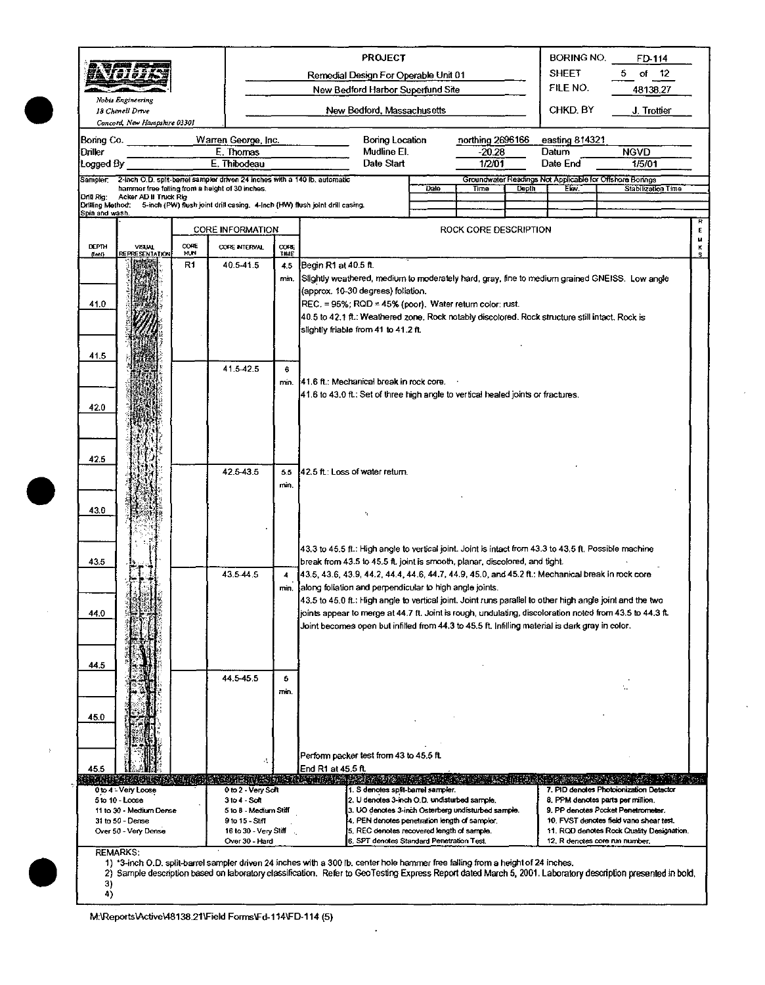|                        |                                                                                                                                       |                    |                                         |                                       |                                                                                   | <b>PROJECT</b>                                                                                                                                               |      |                       |       | <b>BORING NO.</b>        | FD-114                                                                                                                                                      |  |
|------------------------|---------------------------------------------------------------------------------------------------------------------------------------|--------------------|-----------------------------------------|---------------------------------------|-----------------------------------------------------------------------------------|--------------------------------------------------------------------------------------------------------------------------------------------------------------|------|-----------------------|-------|--------------------------|-------------------------------------------------------------------------------------------------------------------------------------------------------------|--|
|                        | 79 Y 27 7 7 A                                                                                                                         |                    |                                         |                                       |                                                                                   | Remedial Design For Operable Unit 01<br>New Bedford Harbor Superfund Site                                                                                    |      |                       |       | <b>SHEET</b><br>FILE NO. | of $12$<br>5.<br>48138.27                                                                                                                                   |  |
|                        | Nobis Engineering                                                                                                                     |                    |                                         |                                       |                                                                                   |                                                                                                                                                              |      |                       |       |                          |                                                                                                                                                             |  |
|                        | 18 Chenell Drive<br>Concord, New Hampshire 03301                                                                                      |                    |                                         |                                       |                                                                                   | New Bedford, Massachusetts                                                                                                                                   |      |                       |       | CHKD, BY                 | J. Trottier                                                                                                                                                 |  |
| Boring Co.             |                                                                                                                                       |                    | Warren George, Inc.                     |                                       |                                                                                   | Boring Location                                                                                                                                              |      | northing 2696166      |       | easting 814321           |                                                                                                                                                             |  |
| Driller                |                                                                                                                                       |                    | E. Thomas                               |                                       |                                                                                   | Mudline El.                                                                                                                                                  |      | $-20.28$              |       | Datum                    | <b>NGVD</b>                                                                                                                                                 |  |
| Logged By              |                                                                                                                                       |                    | E. Thibodeau                            |                                       |                                                                                   | Date Start                                                                                                                                                   |      | 1/2/01                |       | Date End                 | 1/5/01                                                                                                                                                      |  |
|                        | Sampler 2-inch O.D. split-barrel sampler driven 24 inches with a 140 lb. automatic<br>hammer free faiting from a height of 30 inches. |                    |                                         |                                       |                                                                                   |                                                                                                                                                              | Dale | Time                  | Depth | Elov                     | Groundwater Readings Not Applicable for Offshore Borings<br>Stabilization Time                                                                              |  |
| Drill Rig:             | Acker AD II Truck Rig<br>Drilling Method: 5-inch (PW) flush joint drill casing. 4-inch (HW) flush joint drill casing.                 |                    |                                         |                                       |                                                                                   |                                                                                                                                                              |      |                       |       |                          |                                                                                                                                                             |  |
| Spin and wash.         |                                                                                                                                       |                    |                                         |                                       |                                                                                   |                                                                                                                                                              |      |                       |       |                          |                                                                                                                                                             |  |
|                        |                                                                                                                                       |                    | CORE INFORMATION                        |                                       |                                                                                   |                                                                                                                                                              |      | ROCK CORE DESCRIPTION |       |                          | E                                                                                                                                                           |  |
| <b>DEPTH</b><br>(feet) | VISUAL<br>REPRESENTATION                                                                                                              | CORE<br><b>HUN</b> | CORE INTERVAL                           | CORE<br>TIME                          |                                                                                   |                                                                                                                                                              |      |                       |       |                          | м<br>κ<br>s                                                                                                                                                 |  |
|                        |                                                                                                                                       | R1                 | 40.5-41.5                               | 4.5                                   | Begin R1 at 40.5 ft.                                                              |                                                                                                                                                              |      |                       |       |                          |                                                                                                                                                             |  |
|                        |                                                                                                                                       |                    |                                         | min.                                  |                                                                                   |                                                                                                                                                              |      |                       |       |                          | Slightly weathered, medium to moderately hard, gray, fine to medium grained GNEISS. Low angle                                                               |  |
|                        |                                                                                                                                       |                    |                                         |                                       |                                                                                   | (approx. 10-30 degrees) foliation.                                                                                                                           |      |                       |       |                          |                                                                                                                                                             |  |
| 41.0                   |                                                                                                                                       |                    |                                         |                                       |                                                                                   | REC. = 95%; RQD = 45% (poor). Water return color: rust.<br>40.5 to 42.1 ft.: Weathered zone. Rock notably discolored. Rock structure still intact. Rock is   |      |                       |       |                          |                                                                                                                                                             |  |
|                        |                                                                                                                                       |                    |                                         |                                       |                                                                                   | slightly friable from 41 to 41.2 ft.                                                                                                                         |      |                       |       |                          |                                                                                                                                                             |  |
|                        |                                                                                                                                       |                    |                                         |                                       |                                                                                   |                                                                                                                                                              |      |                       |       |                          |                                                                                                                                                             |  |
| 41.5                   |                                                                                                                                       |                    |                                         |                                       |                                                                                   |                                                                                                                                                              |      |                       |       |                          |                                                                                                                                                             |  |
|                        |                                                                                                                                       |                    | 41.5-42.5                               | 6<br>min.                             |                                                                                   | 141.6 ft.: Mechanical break in rock core.                                                                                                                    |      |                       |       |                          |                                                                                                                                                             |  |
|                        |                                                                                                                                       |                    |                                         |                                       | 41.6 to 43.0 ft.: Set of three high angle to vertical healed joints or fractures. |                                                                                                                                                              |      |                       |       |                          |                                                                                                                                                             |  |
| 42.0                   |                                                                                                                                       |                    |                                         |                                       |                                                                                   |                                                                                                                                                              |      |                       |       |                          |                                                                                                                                                             |  |
|                        |                                                                                                                                       |                    |                                         |                                       |                                                                                   |                                                                                                                                                              |      |                       |       |                          |                                                                                                                                                             |  |
|                        |                                                                                                                                       |                    |                                         |                                       |                                                                                   |                                                                                                                                                              |      |                       |       |                          |                                                                                                                                                             |  |
| 42.5                   |                                                                                                                                       |                    |                                         |                                       |                                                                                   |                                                                                                                                                              |      |                       |       |                          |                                                                                                                                                             |  |
|                        |                                                                                                                                       |                    | 42.5-43.5                               | 42.5 ft: Loss of water return.<br>5.5 |                                                                                   |                                                                                                                                                              |      |                       |       |                          |                                                                                                                                                             |  |
|                        |                                                                                                                                       |                    |                                         | min.                                  |                                                                                   |                                                                                                                                                              |      |                       |       |                          |                                                                                                                                                             |  |
|                        |                                                                                                                                       |                    |                                         |                                       |                                                                                   |                                                                                                                                                              |      |                       |       |                          |                                                                                                                                                             |  |
| 43.0                   |                                                                                                                                       |                    |                                         |                                       |                                                                                   |                                                                                                                                                              |      |                       |       |                          |                                                                                                                                                             |  |
|                        |                                                                                                                                       |                    |                                         |                                       |                                                                                   |                                                                                                                                                              |      |                       |       |                          |                                                                                                                                                             |  |
|                        |                                                                                                                                       |                    |                                         |                                       |                                                                                   | 43.3 to 45.5 ft.: High angle to vertical joint. Joint is intact from 43.3 to 43.5 ft. Possible machine                                                       |      |                       |       |                          |                                                                                                                                                             |  |
| 43.5                   |                                                                                                                                       |                    |                                         |                                       |                                                                                   | break from 43.5 to 45.5 ft, joint is smooth, planar, discolored, and tight.                                                                                  |      |                       |       |                          |                                                                                                                                                             |  |
|                        |                                                                                                                                       |                    | 43.5-44.5                               | 4<br>min.                             |                                                                                   | 43.5, 43.6, 43.9, 44.2, 44.4, 44.6, 44.7, 44.9, 45.0, and 45.2 ft.: Mechanical break in rock core<br>along foliation and perpendicular to high angle joints. |      |                       |       |                          |                                                                                                                                                             |  |
|                        |                                                                                                                                       |                    |                                         |                                       |                                                                                   |                                                                                                                                                              |      |                       |       |                          | 43.5 to 45.0 ft.: High angle to vertical joint. Joint runs parallel to other high angle joint and the two                                                   |  |
| 44.0                   |                                                                                                                                       |                    |                                         |                                       |                                                                                   |                                                                                                                                                              |      |                       |       |                          | joints appear to merge at 44.7 ft. Joint is rough, undulating, discoloration noted from 43.5 to 44.3 ft.                                                    |  |
|                        |                                                                                                                                       |                    |                                         |                                       |                                                                                   | Joint becomes open but infilled from 44.3 to 45.5 ft. Infilling material is dark gray in color.                                                              |      |                       |       |                          |                                                                                                                                                             |  |
|                        |                                                                                                                                       |                    |                                         |                                       |                                                                                   |                                                                                                                                                              |      |                       |       |                          |                                                                                                                                                             |  |
| 44,5                   |                                                                                                                                       |                    |                                         |                                       |                                                                                   |                                                                                                                                                              |      |                       |       |                          |                                                                                                                                                             |  |
|                        |                                                                                                                                       |                    | 44.5.45.5                               | 5                                     |                                                                                   |                                                                                                                                                              |      |                       |       |                          |                                                                                                                                                             |  |
|                        |                                                                                                                                       |                    |                                         | min.                                  |                                                                                   |                                                                                                                                                              |      |                       |       |                          |                                                                                                                                                             |  |
| 45.0                   |                                                                                                                                       |                    |                                         |                                       |                                                                                   |                                                                                                                                                              |      |                       |       |                          |                                                                                                                                                             |  |
|                        |                                                                                                                                       |                    |                                         |                                       |                                                                                   |                                                                                                                                                              |      |                       |       |                          |                                                                                                                                                             |  |
|                        |                                                                                                                                       |                    |                                         |                                       |                                                                                   |                                                                                                                                                              |      |                       |       |                          |                                                                                                                                                             |  |
|                        |                                                                                                                                       |                    | k.                                      |                                       |                                                                                   | Perform packer test from 43 to 45.5 ft.                                                                                                                      |      |                       |       |                          |                                                                                                                                                             |  |
| 45.5                   | RINIS RESISTING TAN RINIS TO THE                                                                                                      |                    |                                         |                                       | End R1 at 45.5 ft.                                                                |                                                                                                                                                              |      |                       |       |                          |                                                                                                                                                             |  |
|                        | 0 to 4 Very Loose                                                                                                                     |                    | 0 to 2 - Very Soft                      |                                       |                                                                                   | 1. S denotes split-barrel sampler.                                                                                                                           |      |                       |       |                          | 7. PID denotes Photoionization Detector                                                                                                                     |  |
|                        | 5 to 10 - Loose<br>11 to 30 - Medium Dense                                                                                            |                    | $3104 - S$ cit<br>5 to 8 - Medium Stiff |                                       |                                                                                   | 2. U denotes 3-inch O.D. undisturbed sample.<br>3. UO denotes 3-inch Osterberg undisturbed sample.                                                           |      |                       |       |                          | 8. PPM denotes parts per million.<br>9, PP denotes Pocket Penetrometer.                                                                                     |  |
|                        | 31 to 50 - Dense                                                                                                                      |                    | 9 to 15 - Stiff                         |                                       |                                                                                   | 4. PEN denotes penetration length of sampler.                                                                                                                |      |                       |       |                          | 10. FVST denotes field vane shear test.                                                                                                                     |  |
|                        | Over 50 - Very Dense                                                                                                                  |                    | 16 to 30 - Very Stiff<br>Over J0 - Hard |                                       |                                                                                   | 5, REC denotes recovered length of sample.<br>6, SPT denotes Standard Penetration Test.                                                                      |      |                       |       |                          | 11. ROD denotes Rock Cluality Designation.<br>12. R denotes core run number.                                                                                |  |
|                        | <b>REMARKS:</b>                                                                                                                       |                    |                                         |                                       |                                                                                   |                                                                                                                                                              |      |                       |       |                          |                                                                                                                                                             |  |
|                        |                                                                                                                                       |                    |                                         |                                       |                                                                                   | 1) *3-inch O.D. split-barrel sampler driven 24 inches with a 300 lb. center hole hammer free falling from a height of 24 inches.                             |      |                       |       |                          | 2) Sample description based on laboratory classification. Refer to GeoTesting Express Report dated March 5, 2001. Laboratory description presented in bold, |  |
| 3)<br>4)               |                                                                                                                                       |                    |                                         |                                       |                                                                                   |                                                                                                                                                              |      |                       |       |                          |                                                                                                                                                             |  |
|                        |                                                                                                                                       |                    |                                         |                                       |                                                                                   |                                                                                                                                                              |      |                       |       |                          |                                                                                                                                                             |  |

ÿ

 $\ddot{\phantom{0}}$ 

M:\Reports\Active\48138.21\Field Forms\Fd-114\FD-114 (5)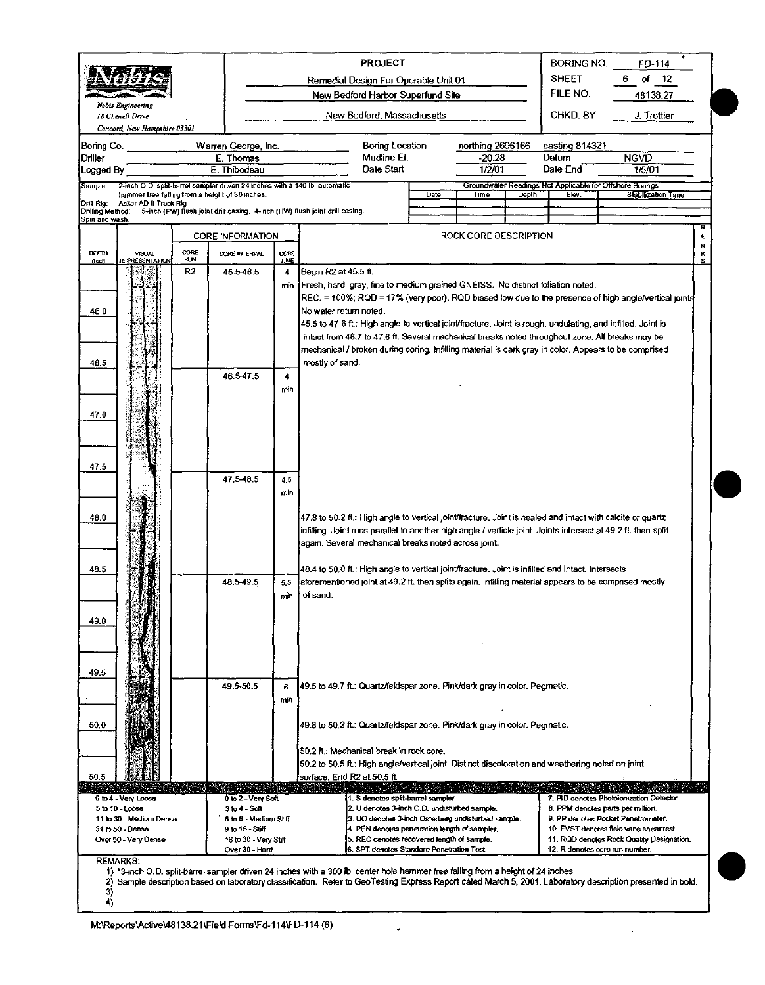|                                |                                                                                                                               |            |                                                                             |                     |                        | <b>PROJECT</b>                                                                                                                   |      |                       |              | BORING NO.                                                       | FD-114                                                                                                                                                                                                         |        |
|--------------------------------|-------------------------------------------------------------------------------------------------------------------------------|------------|-----------------------------------------------------------------------------|---------------------|------------------------|----------------------------------------------------------------------------------------------------------------------------------|------|-----------------------|--------------|------------------------------------------------------------------|----------------------------------------------------------------------------------------------------------------------------------------------------------------------------------------------------------------|--------|
|                                | -8752                                                                                                                         |            |                                                                             |                     |                        | Remedial Design For Operable Unit 01                                                                                             |      |                       |              | <b>SHEET</b>                                                     | of $12$<br>6                                                                                                                                                                                                   |        |
|                                |                                                                                                                               |            |                                                                             |                     |                        | New Bedford Harbor Superfund Site                                                                                                |      |                       |              | FILE NO.                                                         | 48138.27                                                                                                                                                                                                       |        |
|                                | Nobis Engineering                                                                                                             |            |                                                                             |                     |                        |                                                                                                                                  |      |                       |              |                                                                  |                                                                                                                                                                                                                |        |
|                                | 18 Chenell Drive                                                                                                              |            |                                                                             |                     |                        | New Bedford, Massachusetts                                                                                                       |      |                       |              | CHKD. BY                                                         | J. Trottier                                                                                                                                                                                                    |        |
|                                | Concord New Hampshire 03301                                                                                                   |            |                                                                             |                     |                        |                                                                                                                                  |      |                       |              |                                                                  |                                                                                                                                                                                                                |        |
| Boring Co.                     |                                                                                                                               |            | Warren George, Inc.                                                         |                     |                        | Boring Location                                                                                                                  |      | northing 2696166      |              | easting 814321                                                   |                                                                                                                                                                                                                |        |
| Driller                        |                                                                                                                               |            | E. Thomas                                                                   |                     |                        | Mudline El.<br>Date Start                                                                                                        |      | $-20.28$              |              | Datum                                                            | <b>NGVD</b>                                                                                                                                                                                                    |        |
| Logged By                      |                                                                                                                               |            | E. Thibodeau                                                                |                     |                        |                                                                                                                                  |      | 1/2/01                |              | Date End                                                         | 1/5/01                                                                                                                                                                                                         |        |
| Sampler:                       | 2-inch O.D. split-barrel sampler driven 24 inches with a 140 lb. automatic<br>hammer free falling from a height of 30 inches. |            |                                                                             |                     |                        |                                                                                                                                  | Date | Time                  | <b>Depth</b> | Groundwater Readings Not Applicable for Offshore Bonngs<br>Elev. | <b>Stabilization Time</b>                                                                                                                                                                                      |        |
| Drill Rig:<br>Drilling Method: | Acker AD II Truck Rig                                                                                                         |            | 5-inch (PW) flush joint drill casing. 4-inch (HW) flush joint drill casing. |                     |                        |                                                                                                                                  |      |                       |              |                                                                  |                                                                                                                                                                                                                |        |
| Spin and wash.                 |                                                                                                                               |            |                                                                             |                     |                        |                                                                                                                                  |      |                       |              |                                                                  |                                                                                                                                                                                                                |        |
|                                |                                                                                                                               |            | <b>CORE INFORMATION</b>                                                     |                     |                        |                                                                                                                                  |      | ROCK CORE DESCRIPTION |              |                                                                  |                                                                                                                                                                                                                | R<br>ε |
| <b>DEPTH</b>                   | VISUAL                                                                                                                        | CORE       | CORE INTERVAL                                                               | CORE                |                        |                                                                                                                                  |      |                       |              |                                                                  |                                                                                                                                                                                                                | Μ<br>κ |
| (feet)                         | <b>REPRESENTATION</b>                                                                                                         | <b>HUN</b> |                                                                             | TIME                |                        |                                                                                                                                  |      |                       |              |                                                                  |                                                                                                                                                                                                                | s      |
|                                |                                                                                                                               | R2         | 45.5-46.5                                                                   | 4                   | Begin R2 at 45.5 ft.   |                                                                                                                                  |      |                       |              |                                                                  |                                                                                                                                                                                                                |        |
|                                |                                                                                                                               |            |                                                                             |                     |                        | min IFresh, hard, gray, fine to medium grained GNEISS. No distinct foliation noted.                                              |      |                       |              |                                                                  |                                                                                                                                                                                                                |        |
|                                |                                                                                                                               |            |                                                                             |                     |                        |                                                                                                                                  |      |                       |              |                                                                  | REC. = 100%; RQD = 17% (very poor). RQD biased low due to the presence of high angle/vertical joints                                                                                                           |        |
| 46.0                           |                                                                                                                               |            |                                                                             |                     | No water return noted. |                                                                                                                                  |      |                       |              |                                                                  |                                                                                                                                                                                                                |        |
|                                |                                                                                                                               |            |                                                                             |                     |                        |                                                                                                                                  |      |                       |              |                                                                  | 45.5 to 47.6 ft.: High angle to vertical joint/fracture. Joint is rough, undulating, and infilled. Joint is<br>intact from 46.7 to 47.6 ft. Several mechanical breaks noted throughout zone. All breaks may be |        |
|                                |                                                                                                                               |            |                                                                             |                     |                        |                                                                                                                                  |      |                       |              |                                                                  | mechanical / broken during coring. Infilling material is dark gray in color. Appears to be comprised                                                                                                           |        |
| 46.5                           |                                                                                                                               |            |                                                                             |                     | mostly of sand.        |                                                                                                                                  |      |                       |              |                                                                  |                                                                                                                                                                                                                |        |
|                                |                                                                                                                               |            | 46.5 47.5                                                                   | $\overline{\bf{4}}$ |                        |                                                                                                                                  |      |                       |              |                                                                  |                                                                                                                                                                                                                |        |
|                                |                                                                                                                               |            |                                                                             | min                 |                        |                                                                                                                                  |      |                       |              |                                                                  |                                                                                                                                                                                                                |        |
|                                |                                                                                                                               |            |                                                                             |                     |                        |                                                                                                                                  |      |                       |              |                                                                  |                                                                                                                                                                                                                |        |
| 47.0                           |                                                                                                                               |            |                                                                             |                     |                        |                                                                                                                                  |      |                       |              |                                                                  |                                                                                                                                                                                                                |        |
|                                |                                                                                                                               |            |                                                                             |                     |                        |                                                                                                                                  |      |                       |              |                                                                  |                                                                                                                                                                                                                |        |
|                                |                                                                                                                               |            |                                                                             |                     |                        |                                                                                                                                  |      |                       |              |                                                                  |                                                                                                                                                                                                                |        |
|                                |                                                                                                                               |            |                                                                             |                     |                        |                                                                                                                                  |      |                       |              |                                                                  |                                                                                                                                                                                                                |        |
| 475                            |                                                                                                                               |            |                                                                             |                     |                        |                                                                                                                                  |      |                       |              |                                                                  |                                                                                                                                                                                                                |        |
|                                |                                                                                                                               |            | 47.5-48.5                                                                   | 4,5                 |                        |                                                                                                                                  |      |                       |              |                                                                  |                                                                                                                                                                                                                |        |
|                                |                                                                                                                               |            |                                                                             | min                 |                        |                                                                                                                                  |      |                       |              |                                                                  |                                                                                                                                                                                                                |        |
| 48.0                           |                                                                                                                               |            |                                                                             |                     |                        |                                                                                                                                  |      |                       |              |                                                                  | $47.8$ to 50.2 ft.: High angle to vertical joint/fracture. Joint is healed and intact with calcite or quartz                                                                                                   |        |
|                                |                                                                                                                               |            |                                                                             |                     |                        |                                                                                                                                  |      |                       |              |                                                                  | infilling. Joint runs parallel to another high angle / verticle joint. Joints intersect at 49.2 ft. then split                                                                                                 |        |
|                                |                                                                                                                               |            |                                                                             |                     |                        | again. Several mechanical breaks noted across joint.                                                                             |      |                       |              |                                                                  |                                                                                                                                                                                                                |        |
|                                |                                                                                                                               |            |                                                                             |                     |                        |                                                                                                                                  |      |                       |              |                                                                  |                                                                                                                                                                                                                |        |
| 48.5                           |                                                                                                                               |            |                                                                             |                     |                        | 48.4 to 50.0 ft.: High angle to vertical joint/fracture. Joint is infilled and intact. Intersects                                |      |                       |              |                                                                  |                                                                                                                                                                                                                |        |
|                                |                                                                                                                               |            | 48.5-49.5                                                                   | 5.5                 |                        |                                                                                                                                  |      |                       |              |                                                                  | aforementioned joint at 49.2 ft. then splits again, Infilling material appears to be comprised mostly                                                                                                          |        |
|                                |                                                                                                                               |            |                                                                             | min                 | of sand.               |                                                                                                                                  |      |                       |              |                                                                  |                                                                                                                                                                                                                |        |
|                                |                                                                                                                               |            |                                                                             |                     |                        |                                                                                                                                  |      |                       |              |                                                                  |                                                                                                                                                                                                                |        |
| 49.0                           |                                                                                                                               |            |                                                                             |                     |                        |                                                                                                                                  |      |                       |              |                                                                  |                                                                                                                                                                                                                |        |
|                                |                                                                                                                               |            |                                                                             |                     |                        |                                                                                                                                  |      |                       |              |                                                                  |                                                                                                                                                                                                                |        |
|                                |                                                                                                                               |            |                                                                             |                     |                        |                                                                                                                                  |      |                       |              |                                                                  |                                                                                                                                                                                                                |        |
|                                |                                                                                                                               |            |                                                                             |                     |                        |                                                                                                                                  |      |                       |              |                                                                  |                                                                                                                                                                                                                |        |
| 49.5                           |                                                                                                                               |            |                                                                             |                     |                        |                                                                                                                                  |      |                       |              |                                                                  |                                                                                                                                                                                                                |        |
|                                |                                                                                                                               |            | 49.5-50.5                                                                   | 6                   |                        | 49.5 to 49.7 ft.: Quartz/feldspar zone. Pink/dark gray in color. Pegmatic.                                                       |      |                       |              |                                                                  |                                                                                                                                                                                                                |        |
|                                |                                                                                                                               |            |                                                                             | min                 |                        |                                                                                                                                  |      |                       |              |                                                                  |                                                                                                                                                                                                                |        |
| 50.0                           |                                                                                                                               |            |                                                                             |                     |                        | 49.8 to 50.2 ft.: Quartz/feldspar zone. Pink/dark gray in color. Pegmatic.                                                       |      |                       |              |                                                                  |                                                                                                                                                                                                                |        |
|                                |                                                                                                                               |            |                                                                             |                     |                        |                                                                                                                                  |      |                       |              |                                                                  |                                                                                                                                                                                                                |        |
|                                |                                                                                                                               |            |                                                                             |                     |                        | 50.2 ft : Mechanical break in rock core.                                                                                         |      |                       |              |                                                                  |                                                                                                                                                                                                                |        |
|                                |                                                                                                                               |            |                                                                             |                     |                        | 50.2 to 50.5 ft.: High angle/vertical joint. Distinct discoloration and weathering noted on joint                                |      |                       |              |                                                                  |                                                                                                                                                                                                                |        |
| 50,5                           |                                                                                                                               |            |                                                                             |                     |                        | surface. End R2 at 50.5 ft.                                                                                                      |      |                       |              |                                                                  |                                                                                                                                                                                                                |        |
|                                |                                                                                                                               |            |                                                                             |                     | Watan                  | <b>RAILWAY CALL AND A CONTRACTOR</b>                                                                                             |      |                       |              |                                                                  |                                                                                                                                                                                                                |        |
|                                | 0 to 4 - Very Loose<br>5 to 10 - Loose                                                                                        |            | 0 to 2 - Very Soft<br>$3 to 4 - Soft$                                       |                     |                        | 1. S denotes split-barrel sampler.<br>2. U denotes 3-inch O.D. undisturbed sample.                                               |      |                       |              |                                                                  | 7. PID denotes Photoionization Detector<br>8. PPM denotes parts per million.                                                                                                                                   |        |
|                                | 11 to 30 - Medium Dense                                                                                                       |            | 5 to 8 - Medium Stiff                                                       |                     |                        | 3. UO denotes 3-inch Osterberg undisturbed sample.                                                                               |      |                       |              |                                                                  | 9. PP denotes Pocket Penetrometer.                                                                                                                                                                             |        |
|                                | 31 to 50 - Dense                                                                                                              |            | 9 to 15 - Stiff                                                             |                     |                        | 4. PEN denotes penetration length of sampler.                                                                                    |      |                       |              |                                                                  | 10. FVST denotes field vane shear test.                                                                                                                                                                        |        |
|                                | Over 50 - Very Dense                                                                                                          |            | 16 to 30 - Very Stiff<br>Over 30 - Hard                                     |                     |                        | 5. REC denotes recovered length of sample.<br>6. SPT denotes Standard Penetration Test.                                          |      |                       |              | 12. R denotes core run number.                                   | 11. ROD denotes Rock Quality Designation.                                                                                                                                                                      |        |
|                                | <b>REMARKS:</b>                                                                                                               |            |                                                                             |                     |                        |                                                                                                                                  |      |                       |              |                                                                  |                                                                                                                                                                                                                |        |
|                                |                                                                                                                               |            |                                                                             |                     |                        | 1) *3-inch O.D. split-barrel sampler driven 24 inches with a 300 lb. center hole hammer free falling from a height of 24 inches. |      |                       |              |                                                                  |                                                                                                                                                                                                                |        |
|                                |                                                                                                                               |            |                                                                             |                     |                        |                                                                                                                                  |      |                       |              |                                                                  | 2) Sample description based on laboratory classification. Refer to GeoTesting Express Report dated March 5, 2001. Laboratory description presented in bold.                                                    |        |
| 3)<br>4)                       |                                                                                                                               |            |                                                                             |                     |                        |                                                                                                                                  |      |                       |              |                                                                  |                                                                                                                                                                                                                |        |
|                                |                                                                                                                               |            |                                                                             |                     |                        |                                                                                                                                  |      |                       |              |                                                                  |                                                                                                                                                                                                                |        |

 $\bullet$ 

 $\mathcal{L}$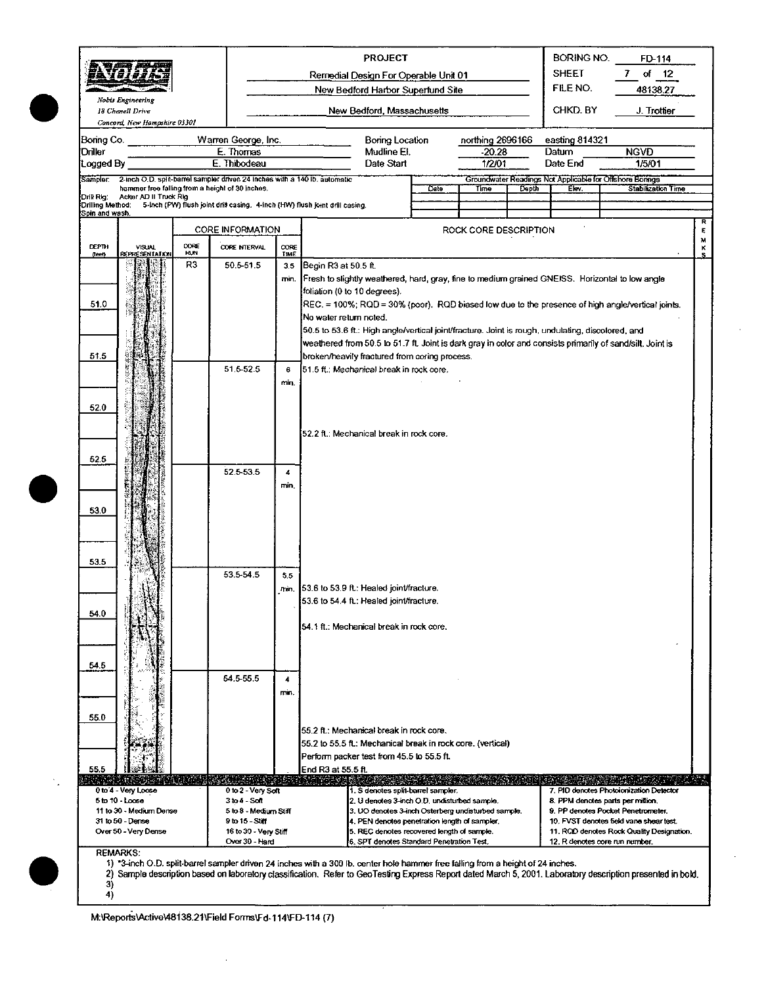|                                    |                                                  |             |                                                                                                                                  |              |                        | <b>PROJECT</b>                                                                                           |      |                            |       | BORING NO.              | FD-114                                                                                                                                                      |        |
|------------------------------------|--------------------------------------------------|-------------|----------------------------------------------------------------------------------------------------------------------------------|--------------|------------------------|----------------------------------------------------------------------------------------------------------|------|----------------------------|-------|-------------------------|-------------------------------------------------------------------------------------------------------------------------------------------------------------|--------|
|                                    | <b>SINGER</b><br>استنتاك<br><i><b>HOISTA</b></i> |             |                                                                                                                                  |              |                        | Remedial Design For Operable Unit 01                                                                     |      |                            |       | <b>SHEET</b>            | of<br>7<br>12                                                                                                                                               |        |
|                                    |                                                  |             |                                                                                                                                  |              |                        | New Bedford Harbor Superfund Site                                                                        |      |                            |       | FILE NO.                | 48138.27                                                                                                                                                    |        |
|                                    | Nobis Engineering<br>18 Chenell Drive            |             |                                                                                                                                  |              |                        | New Bedford, Massachusetts                                                                               |      |                            |       | CHKD BY                 | J. Trottier                                                                                                                                                 |        |
|                                    | Concord, New Hampshire 03301                     |             |                                                                                                                                  |              |                        |                                                                                                          |      |                            |       |                         |                                                                                                                                                             |        |
| Boring Co.<br>Driller              |                                                  |             | Warren George, Inc.<br>E. Thomas                                                                                                 |              |                        | Boring Location<br>Mudline El.                                                                           |      | northing 2696166<br>-20.28 |       | easting 814321<br>Datum | <b>NGVD</b>                                                                                                                                                 |        |
| Logged By                          |                                                  |             | E. Thibodeau                                                                                                                     |              |                        | Date Start                                                                                               |      | 1/2/01                     |       | Date End                | 1/5/01                                                                                                                                                      |        |
|                                    |                                                  |             | Sampler: 2-inch O.D. split-barrel sampler driven 24 inches with a 140 lb. automatic                                              |              |                        |                                                                                                          |      |                            |       |                         | Groundwater Readings Not Applicable for Offshore Borings                                                                                                    |        |
| Drill Rig:                         | Acker AD II Truck Rig                            |             | hammer free falling from a height of 30 inches.                                                                                  |              |                        |                                                                                                          | Date | Time                       | Depth | Elev.                   | Stabilization Time                                                                                                                                          |        |
| Drilling Method:<br>Spin and wash. |                                                  |             | 5-Inch (PW) flush joint drill casing. 4-inch (HW) flush joint drill casing.                                                      |              |                        |                                                                                                          |      |                            |       |                         |                                                                                                                                                             |        |
|                                    |                                                  |             | <b>CORE INFORMATION</b>                                                                                                          |              |                        |                                                                                                          |      | ROCK CORE DESCRIPTION      |       |                         |                                                                                                                                                             | E      |
| <b>DEPTH</b><br>(feet)             | <b>VISUAL</b><br><b>REPRESENTATION</b>           | CORE<br>HUN | CORE INTERVAL                                                                                                                    | CORE<br>TIME |                        |                                                                                                          |      |                            |       |                         |                                                                                                                                                             | м<br>к |
|                                    |                                                  | R3          | 50.5-51.5                                                                                                                        | 3.5          | Begin R3 at 50.5 ft.   |                                                                                                          |      |                            |       |                         |                                                                                                                                                             |        |
|                                    |                                                  |             |                                                                                                                                  | min.         |                        |                                                                                                          |      |                            |       |                         | Fresh to slightly weathered, hard, gray, fine to medium grained GNEISS. Horizontal to low angle                                                             |        |
|                                    |                                                  |             |                                                                                                                                  |              |                        | foliation (0 to 10 degrees).                                                                             |      |                            |       |                         |                                                                                                                                                             |        |
| 51.0                               |                                                  |             |                                                                                                                                  |              | No water return noted. |                                                                                                          |      |                            |       |                         | REC. = 100%; RQD = 30% (poor). RQD biased low due to the presence of high angle/vertical joints.                                                            |        |
|                                    |                                                  |             |                                                                                                                                  |              |                        | 50.5 to 53.6 ft.: High angle/vertical joint/fracture. Joint is rough, undulating, discolored, and        |      |                            |       |                         |                                                                                                                                                             |        |
|                                    |                                                  |             |                                                                                                                                  |              |                        |                                                                                                          |      |                            |       |                         | weathered from 50.5 to 51.7 ft. Joint is dark gray in color and consists primarily of sand/silt. Joint is                                                   |        |
| 51.5                               |                                                  |             |                                                                                                                                  |              |                        | broken/heavily fractured from coring process.                                                            |      |                            |       |                         |                                                                                                                                                             |        |
|                                    |                                                  |             | 51.5-52.5                                                                                                                        | 6<br>min.    |                        | 51.5 ft.; Mechanical break in rock core.                                                                 |      |                            |       |                         |                                                                                                                                                             |        |
|                                    |                                                  |             |                                                                                                                                  |              |                        |                                                                                                          |      |                            |       |                         |                                                                                                                                                             |        |
| 52.0                               |                                                  |             |                                                                                                                                  |              |                        |                                                                                                          |      |                            |       |                         |                                                                                                                                                             |        |
|                                    |                                                  |             |                                                                                                                                  |              |                        | 52.2 ft.: Mechanical break in rock core.                                                                 |      |                            |       |                         |                                                                                                                                                             |        |
|                                    |                                                  |             |                                                                                                                                  |              |                        |                                                                                                          |      |                            |       |                         |                                                                                                                                                             |        |
| 52.5                               |                                                  |             |                                                                                                                                  |              |                        |                                                                                                          |      |                            |       |                         |                                                                                                                                                             |        |
|                                    |                                                  |             | 52.5-53.5                                                                                                                        | 4            |                        |                                                                                                          |      |                            |       |                         |                                                                                                                                                             |        |
|                                    |                                                  |             |                                                                                                                                  | min.         |                        |                                                                                                          |      |                            |       |                         |                                                                                                                                                             |        |
| 53.0                               |                                                  |             |                                                                                                                                  |              |                        |                                                                                                          |      |                            |       |                         |                                                                                                                                                             |        |
|                                    |                                                  |             |                                                                                                                                  |              |                        |                                                                                                          |      |                            |       |                         |                                                                                                                                                             |        |
|                                    |                                                  |             |                                                                                                                                  |              |                        |                                                                                                          |      |                            |       |                         |                                                                                                                                                             |        |
|                                    |                                                  |             |                                                                                                                                  |              |                        |                                                                                                          |      |                            |       |                         |                                                                                                                                                             |        |
| 53.5                               |                                                  |             | 53.5-54.5                                                                                                                        | 55           |                        |                                                                                                          |      |                            |       |                         |                                                                                                                                                             |        |
|                                    |                                                  |             |                                                                                                                                  |              |                        | min. 53.6 to 53.9 ft.: Healed joint/fracture.                                                            |      |                            |       |                         |                                                                                                                                                             |        |
|                                    |                                                  |             |                                                                                                                                  |              |                        | 53.6 to 54.4 ft.: Healed joint/fracture.                                                                 |      |                            |       |                         |                                                                                                                                                             |        |
| 54.0                               |                                                  |             |                                                                                                                                  |              |                        |                                                                                                          |      |                            |       |                         |                                                                                                                                                             |        |
|                                    |                                                  |             |                                                                                                                                  |              |                        | 54.1 ft.: Mechanical break in rock core.                                                                 |      |                            |       |                         |                                                                                                                                                             |        |
|                                    |                                                  |             |                                                                                                                                  |              |                        |                                                                                                          |      |                            |       |                         |                                                                                                                                                             |        |
| 54.5                               |                                                  |             |                                                                                                                                  |              |                        |                                                                                                          |      |                            |       |                         |                                                                                                                                                             |        |
|                                    |                                                  |             | 54.5-55.5                                                                                                                        | 4<br>min.    |                        |                                                                                                          |      |                            |       |                         |                                                                                                                                                             |        |
|                                    |                                                  |             |                                                                                                                                  |              |                        |                                                                                                          |      |                            |       |                         |                                                                                                                                                             |        |
| 55.0                               |                                                  |             |                                                                                                                                  |              |                        |                                                                                                          |      |                            |       |                         |                                                                                                                                                             |        |
|                                    |                                                  |             |                                                                                                                                  |              |                        | 55.2 ft.: Mechanical break in rock core.                                                                 |      |                            |       |                         |                                                                                                                                                             |        |
|                                    |                                                  |             |                                                                                                                                  |              |                        | 55.2 to 55.5 ft.: Mechanical break in rock core. (vertical)<br>Perform packer test from 45.5 to 55.5 ft. |      |                            |       |                         |                                                                                                                                                             |        |
| 55.5                               |                                                  |             |                                                                                                                                  |              | End R3 at 55.5 ft.     |                                                                                                          |      |                            |       |                         |                                                                                                                                                             |        |
|                                    |                                                  |             |                                                                                                                                  |              |                        |                                                                                                          |      |                            |       |                         |                                                                                                                                                             |        |
|                                    | 0 to 4 - Very Loose<br>5 to 10 - Loose           |             | 0 to 2 - Very Scit<br>$3 to 4 - Soft$                                                                                            |              |                        | 1. S denotes split-barrel sampler.<br>2. U denotes 3-inch O.D. undisturbed sample.                       |      |                            |       |                         | 7. PID denotes Photoionization Detector<br>8. PPM denotes parts per million.                                                                                |        |
|                                    | 11 to 30 - Medium Dense<br>31 to 50 - Dense      |             | 5 to 8 - Medium Stiff<br>9 to 15 - Stiff                                                                                         |              |                        | 3. UO denotes 3-inch Osterberg undisturbed sample.<br>4. PEN denotes penetration length of sampler.      |      |                            |       |                         | 9. PP denotes Pocket Penetrometer.<br>10. FVST denotes field vans shear test.                                                                               |        |
|                                    | Over 50 - Very Dense                             |             | 16 to 30 - Very Stiff                                                                                                            |              |                        | 5. REC denotes recovered length of sample.                                                               |      |                            |       |                         | 11. RCD denotes Rock Cluality Designation.                                                                                                                  |        |
|                                    | <b>REMARKS:</b>                                  |             | Over 30 - Hard                                                                                                                   |              |                        | 6. SPT denotes Standard Penetration Test.                                                                |      |                            |       |                         | 12. R denotes core run number.                                                                                                                              |        |
|                                    |                                                  |             | 1) "3-inch O.D. split-barrel sampler driven 24 inches with a 300 lb. center hole hammer free falling from a height of 24 inches. |              |                        |                                                                                                          |      |                            |       |                         |                                                                                                                                                             |        |
| 3)                                 |                                                  |             |                                                                                                                                  |              |                        |                                                                                                          |      |                            |       |                         | 2) Sample description based on laboratory classification. Refer to GeoTesting Express Report dated March 5, 2001. Laboratory description presented in bold. |        |
| 4)                                 |                                                  |             |                                                                                                                                  |              |                        |                                                                                                          |      |                            |       |                         |                                                                                                                                                             |        |

 $\ddot{\phantom{a}}$ 

L

M:\Reports\Active\48138.21\Field Forms\Fd-114\FD-114 (7)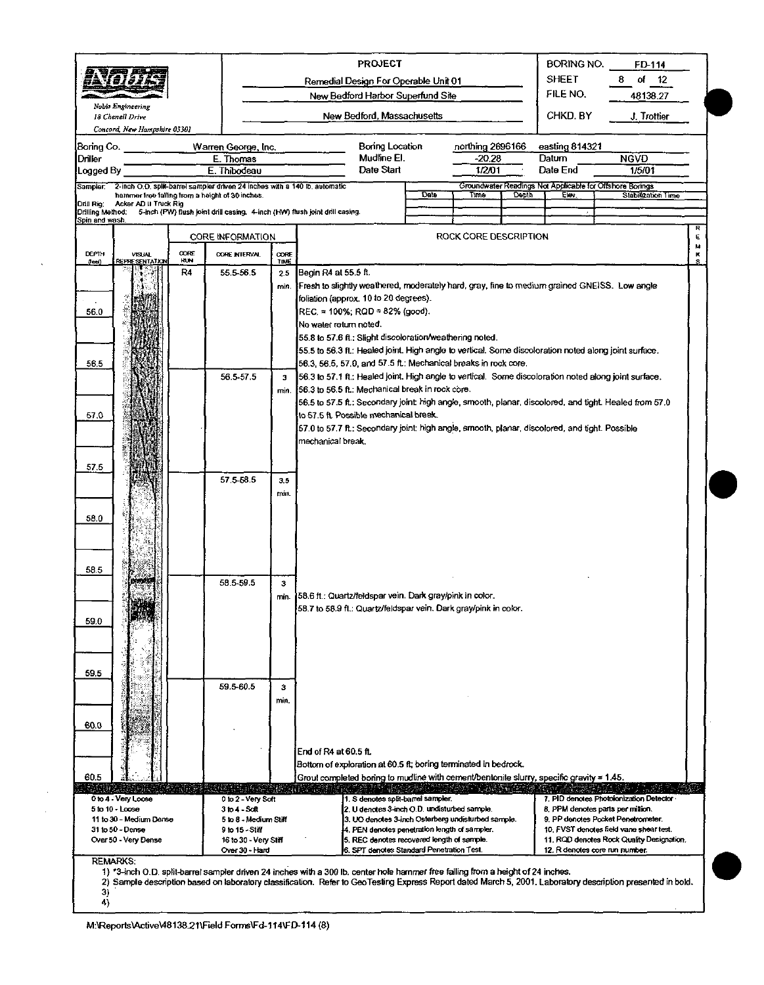|                                |                                                  |      |                                                                                                                               |                      | <b>PROJECT</b>                                                                                                                                              |      |                       |       | <b>BORING NO.</b>                                                 | FD-114                                                                  |        |
|--------------------------------|--------------------------------------------------|------|-------------------------------------------------------------------------------------------------------------------------------|----------------------|-------------------------------------------------------------------------------------------------------------------------------------------------------------|------|-----------------------|-------|-------------------------------------------------------------------|-------------------------------------------------------------------------|--------|
|                                | 72.V <i>81.02.</i> A                             |      |                                                                                                                               |                      | Remedial Design For Operable Unit 01                                                                                                                        |      |                       |       | <b>SHEET</b><br>FILE NO.                                          | of<br>$\frac{12}{2}$<br>8                                               |        |
|                                | Nobis Engineering                                |      |                                                                                                                               |                      | New Bedford Harbor Superfund Site                                                                                                                           |      |                       |       |                                                                   | 48138.27                                                                |        |
|                                | 18 Chenell Drive<br>Concord, New Hampshire 03301 |      |                                                                                                                               |                      | New Bedford, Massachusetts                                                                                                                                  |      |                       |       | CHKD. BY                                                          | J. Trottier                                                             |        |
| Boring Co.                     |                                                  |      | Warren George, Inc.                                                                                                           |                      | Boring Location                                                                                                                                             |      | northing 2696166      |       | easting 814321                                                    |                                                                         |        |
| Driller                        |                                                  |      | E. Thomas                                                                                                                     |                      | Mudline EI.                                                                                                                                                 |      | $-20.28$              |       | Datum                                                             | <b>NGVD</b>                                                             |        |
| Logged By                      |                                                  |      | E. Thibodeau                                                                                                                  |                      | Date Start                                                                                                                                                  |      | 1/2/01                |       | Date End                                                          | 1/5/01                                                                  |        |
| Sampler:                       |                                                  |      | 2-inch O.D. split-barrel sampler driven 24 inches with a 140 lb. automatic<br>hammer free failing from a height of 30 inches. |                      |                                                                                                                                                             | Date | Time                  | Depth | Groundwater Readings Not Applicable for Offshore Borings<br>Elev. | Stabilization Time                                                      |        |
| Drill Rig:<br>Drilling Mothod: | Acker AD II Truck Rig                            |      | 5-inch (PW) flush joint drill casing. 4-inch (HW) flush joint drill casing.                                                   |                      |                                                                                                                                                             |      |                       |       |                                                                   |                                                                         |        |
| Spin and wash                  |                                                  |      |                                                                                                                               |                      |                                                                                                                                                             |      | ROCK CORE DESCRIPTION |       |                                                                   |                                                                         | R<br>E |
| <b>DEPTH</b>                   | VISUAL                                           | CORE | <b>CORE INFORMATION</b><br><b>CORE INTERVAL</b>                                                                               | CORE                 |                                                                                                                                                             |      |                       |       |                                                                   |                                                                         | м<br>ĸ |
| $($ leei)                      | <b>REPRESENTATION</b>                            | HUN  |                                                                                                                               | TIME                 |                                                                                                                                                             |      |                       |       |                                                                   |                                                                         |        |
|                                |                                                  | R4   | 55.5-56.5                                                                                                                     | 2.5<br>min.          | Begin R4 at 55.5 ft.<br>Fresh to slightly weathered, moderately hard, gray, fine to medium grained GNEISS. Low angle                                        |      |                       |       |                                                                   |                                                                         |        |
|                                |                                                  |      |                                                                                                                               |                      | foliation (approx. 10 to 20 degrees).                                                                                                                       |      |                       |       |                                                                   |                                                                         |        |
| 56.0                           |                                                  |      |                                                                                                                               |                      | REC = $100\%$ ; RQD = 82% (good).                                                                                                                           |      |                       |       |                                                                   |                                                                         |        |
|                                |                                                  |      |                                                                                                                               |                      | No water return noted.                                                                                                                                      |      |                       |       |                                                                   |                                                                         |        |
|                                |                                                  |      |                                                                                                                               |                      | 55.8 to 57.6 ft.; Slight discoloration/weathering noted.                                                                                                    |      |                       |       |                                                                   |                                                                         |        |
|                                |                                                  |      |                                                                                                                               |                      | 55.5 to 56.3 ft.; Healed joint. High angle to vertical. Some discoloration noted along joint surface.                                                       |      |                       |       |                                                                   |                                                                         |        |
| 56.5                           |                                                  |      |                                                                                                                               |                      | 56.3, 56.5, 57.0, and 57.5 ft.; Mechanical breaks in rock core.                                                                                             |      |                       |       |                                                                   |                                                                         |        |
|                                |                                                  |      | 56.5-57.5                                                                                                                     | $\mathbf{3}$<br>min. | 56.3 to 57.1 ft.: Healed joint. High angle to vertical. Some discoloration noted along joint surface.<br>56.3 to 56.5 ft.: Mechanical break in rock core.   |      |                       |       |                                                                   |                                                                         |        |
|                                |                                                  |      |                                                                                                                               |                      | 56.5 to 57.5 ft.: Secondary joint: high angle, smooth, planar, discolored, and tight. Healed from 57.0                                                      |      |                       |       |                                                                   |                                                                         |        |
| 57.0                           |                                                  |      |                                                                                                                               |                      | to 57.5 ft. Possible mechanical break.                                                                                                                      |      |                       |       |                                                                   |                                                                         |        |
|                                |                                                  |      |                                                                                                                               |                      | 57.0 to 57.7 ft.: Secondary joint: high angle, smooth, planar, discolored, and tight. Possible                                                              |      |                       |       |                                                                   |                                                                         |        |
|                                |                                                  |      |                                                                                                                               |                      | mechanical break.                                                                                                                                           |      |                       |       |                                                                   |                                                                         |        |
|                                |                                                  |      |                                                                                                                               |                      |                                                                                                                                                             |      |                       |       |                                                                   |                                                                         |        |
| 57.5                           |                                                  |      |                                                                                                                               |                      |                                                                                                                                                             |      |                       |       |                                                                   |                                                                         |        |
|                                |                                                  |      | 57.5-58.5                                                                                                                     | 3.5                  |                                                                                                                                                             |      |                       |       |                                                                   |                                                                         |        |
|                                |                                                  |      |                                                                                                                               | min.                 |                                                                                                                                                             |      |                       |       |                                                                   |                                                                         |        |
| 58.0                           |                                                  |      |                                                                                                                               |                      |                                                                                                                                                             |      |                       |       |                                                                   |                                                                         |        |
|                                |                                                  |      |                                                                                                                               |                      |                                                                                                                                                             |      |                       |       |                                                                   |                                                                         |        |
|                                |                                                  |      |                                                                                                                               |                      |                                                                                                                                                             |      |                       |       |                                                                   |                                                                         |        |
|                                |                                                  |      |                                                                                                                               |                      |                                                                                                                                                             |      |                       |       |                                                                   |                                                                         |        |
| 58.5                           | 5350-252                                         |      |                                                                                                                               |                      |                                                                                                                                                             |      |                       |       |                                                                   |                                                                         |        |
|                                |                                                  |      | 58.5-59.5                                                                                                                     | з<br>min.            | 158.6 ft.: Quartz/feldspar vein. Dark gray/pink in color.                                                                                                   |      |                       |       |                                                                   |                                                                         |        |
|                                |                                                  |      |                                                                                                                               |                      | 58.7 to 58.9 ft.: Quartz/feldspar vein. Dark gray/pink in color.                                                                                            |      |                       |       |                                                                   |                                                                         |        |
| 59.0                           |                                                  |      |                                                                                                                               |                      |                                                                                                                                                             |      |                       |       |                                                                   |                                                                         |        |
|                                |                                                  |      |                                                                                                                               |                      |                                                                                                                                                             |      |                       |       |                                                                   |                                                                         |        |
|                                |                                                  |      |                                                                                                                               |                      |                                                                                                                                                             |      |                       |       |                                                                   |                                                                         |        |
|                                |                                                  |      |                                                                                                                               |                      |                                                                                                                                                             |      |                       |       |                                                                   |                                                                         |        |
| 59.5                           |                                                  |      | 59.5-60.5                                                                                                                     |                      |                                                                                                                                                             |      |                       |       |                                                                   |                                                                         |        |
|                                |                                                  |      |                                                                                                                               | з<br>min.            |                                                                                                                                                             |      |                       |       |                                                                   |                                                                         |        |
|                                |                                                  |      |                                                                                                                               |                      |                                                                                                                                                             |      |                       |       |                                                                   |                                                                         |        |
| 60.0                           |                                                  |      |                                                                                                                               |                      |                                                                                                                                                             |      |                       |       |                                                                   |                                                                         |        |
|                                |                                                  |      |                                                                                                                               |                      |                                                                                                                                                             |      |                       |       |                                                                   |                                                                         |        |
|                                |                                                  |      |                                                                                                                               |                      | End of R4 at 60.5 ft.                                                                                                                                       |      |                       |       |                                                                   |                                                                         |        |
|                                |                                                  |      |                                                                                                                               |                      | Bottom of exploration at 60.5 ft; boring terminated in bedrock.                                                                                             |      |                       |       |                                                                   |                                                                         |        |
| 60.5                           |                                                  |      |                                                                                                                               |                      | Grout completed boring to mudline with cement/bentonite slurry, specific gravity = 1.45.                                                                    |      |                       |       |                                                                   |                                                                         |        |
|                                | 0 to 4 - Very Loose                              |      | 0 to 2 - Very Soft                                                                                                            |                      | 1. S denotes split-barrel sampler.                                                                                                                          |      |                       |       |                                                                   | 7. PID denotes Photoionization Detector                                 |        |
|                                | $5$ to $10 -$ Loose<br>11 to 30 - Medium Dense   |      | $3$ to $4 - 5$ cit<br>5 to 8 - Medium Stiff                                                                                   |                      | 2. U denotes 3-inch O.D. undisturbed sample.<br>3. UO denotes 3-inch Osterberg undisturbed sample.                                                          |      |                       |       |                                                                   | 8. PPM denotes parts per million.<br>9. PP denotes Pocket Penetrometer. |        |
|                                | 31 to 50 - Dense                                 |      | 9 to 15 - Stiff                                                                                                               |                      | 4. PEN denotes penetration length of sampler.                                                                                                               |      |                       |       |                                                                   | 10. FVST denotes field vane shear test.                                 |        |
|                                | Over 50 - Very Dense                             |      | 16 to 30 - Very Stiff                                                                                                         |                      | 5. REC denotes recovered length of sample.<br>6. SPT denotes Standard Penetration Test.                                                                     |      |                       |       | 12. R denotes core run number.                                    | 11. RQD denotes Rock Quality Designation.                               |        |
|                                | <b>REMARKS:</b>                                  |      | Over 30 - Hard                                                                                                                |                      |                                                                                                                                                             |      |                       |       |                                                                   |                                                                         |        |
|                                |                                                  |      |                                                                                                                               |                      | 1) *3-inch O.D. split-barrel sampler driven 24 inches with a 300 lb. center hole hammer free falling from a height of 24 inches.                            |      |                       |       |                                                                   |                                                                         |        |
|                                |                                                  |      |                                                                                                                               |                      | 2) Sample description based on laboratory classification. Refer to GeoTesting Express Report dated March 5, 2001. Laboratory description presented in bold. |      |                       |       |                                                                   |                                                                         |        |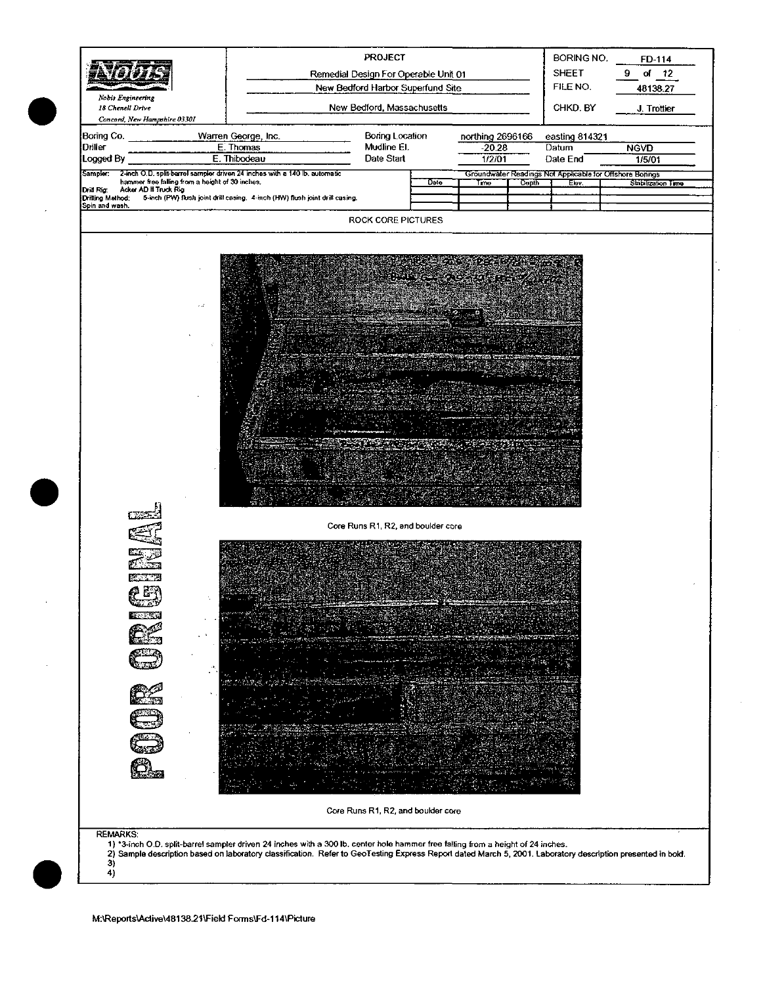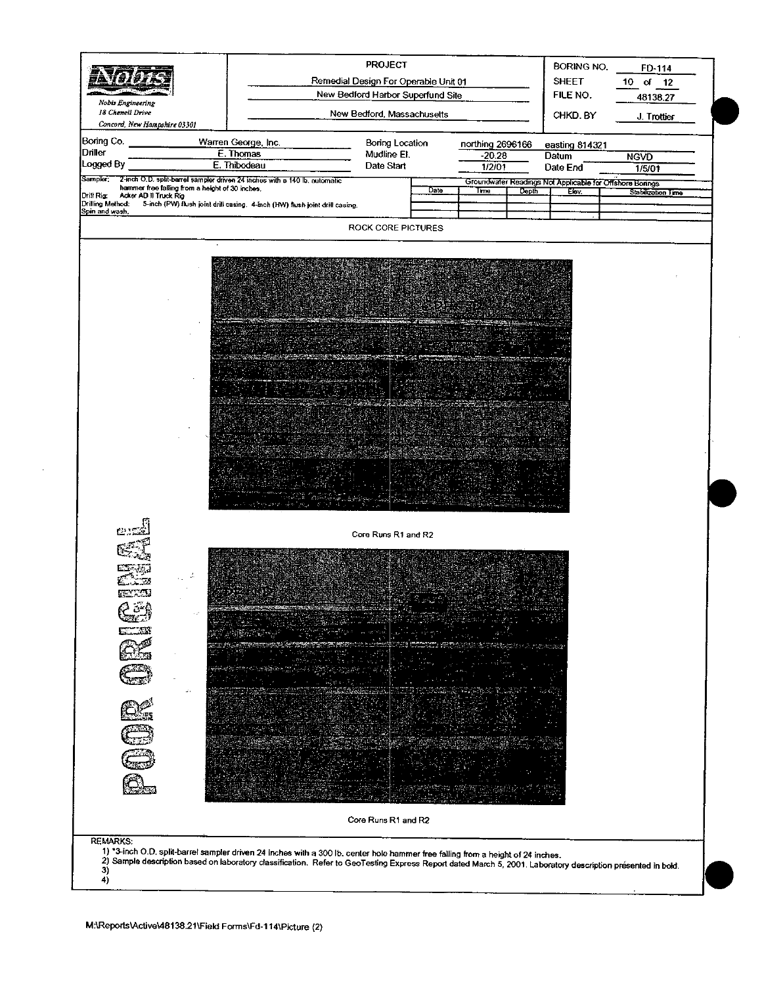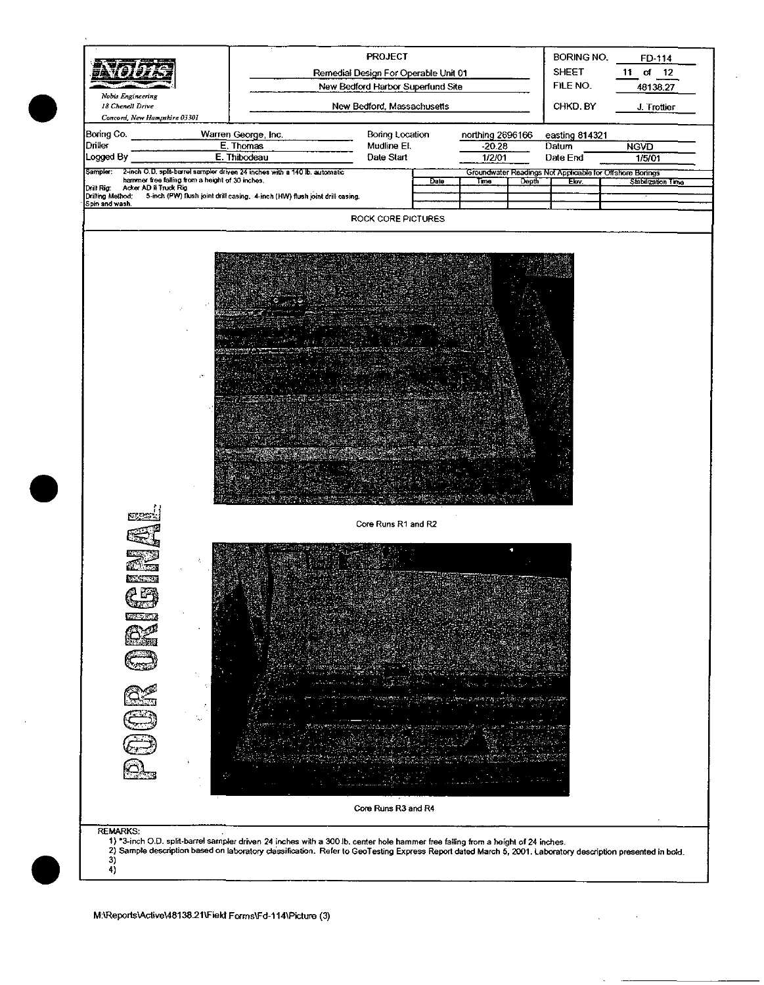